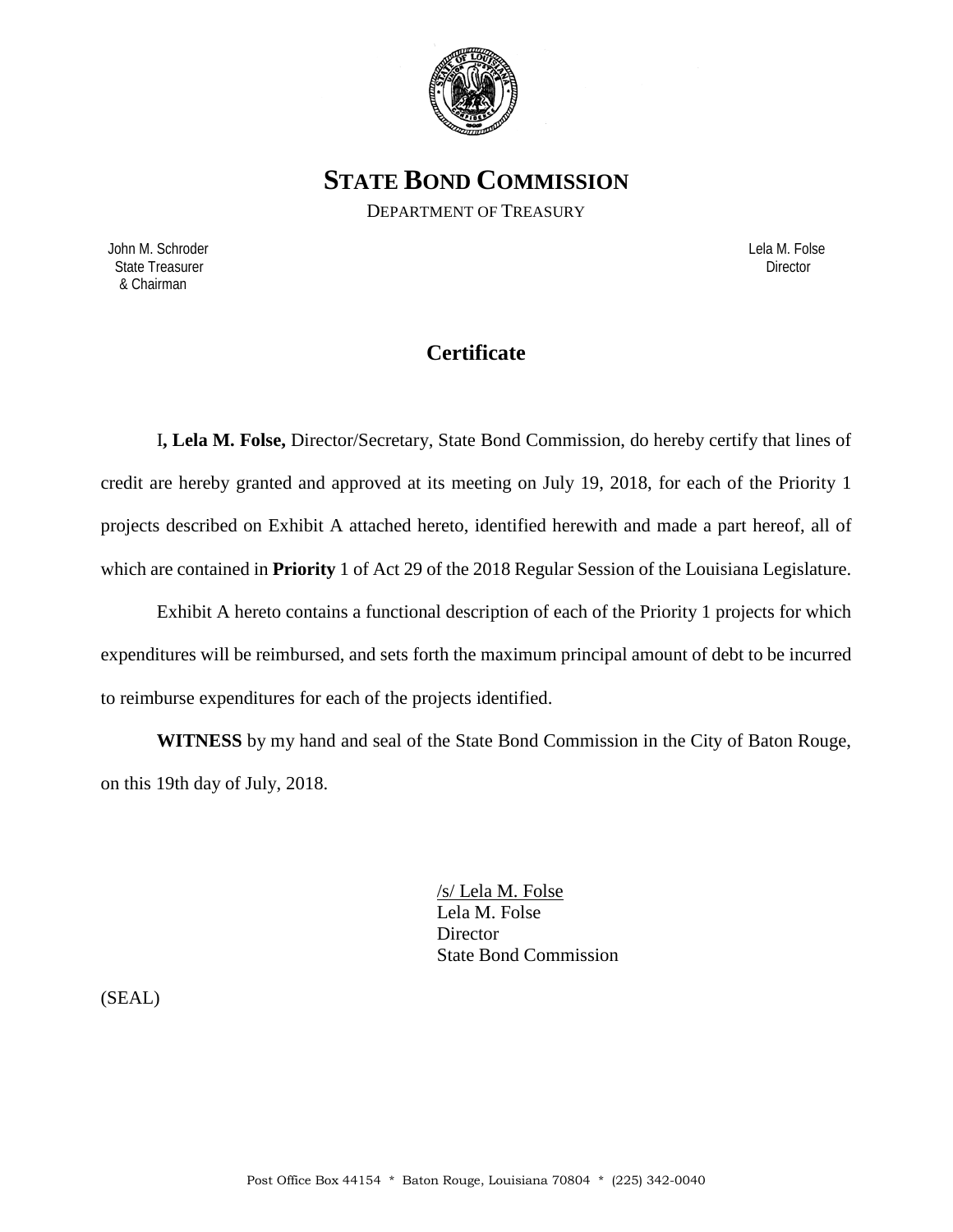

**STATE BOND COMMISSION**

DEPARTMENT OF TREASURY

 John M. Schroder Lela M. Folse State Treasurer Director Contractor Contractor Contractor Contractor Contractor Contractor Director & Chairman

# **Certificate**

I**, Lela M. Folse,** Director/Secretary, State Bond Commission, do hereby certify that lines of credit are hereby granted and approved at its meeting on July 19, 2018, for each of the Priority 1 projects described on Exhibit A attached hereto, identified herewith and made a part hereof, all of which are contained in **Priority** 1 of Act 29 of the 2018 Regular Session of the Louisiana Legislature.

Exhibit A hereto contains a functional description of each of the Priority 1 projects for which expenditures will be reimbursed, and sets forth the maximum principal amount of debt to be incurred to reimburse expenditures for each of the projects identified.

**WITNESS** by my hand and seal of the State Bond Commission in the City of Baton Rouge, on this 19th day of July, 2018.

> /s/ Lela M. Folse Lela M. Folse **Director** State Bond Commission

(SEAL)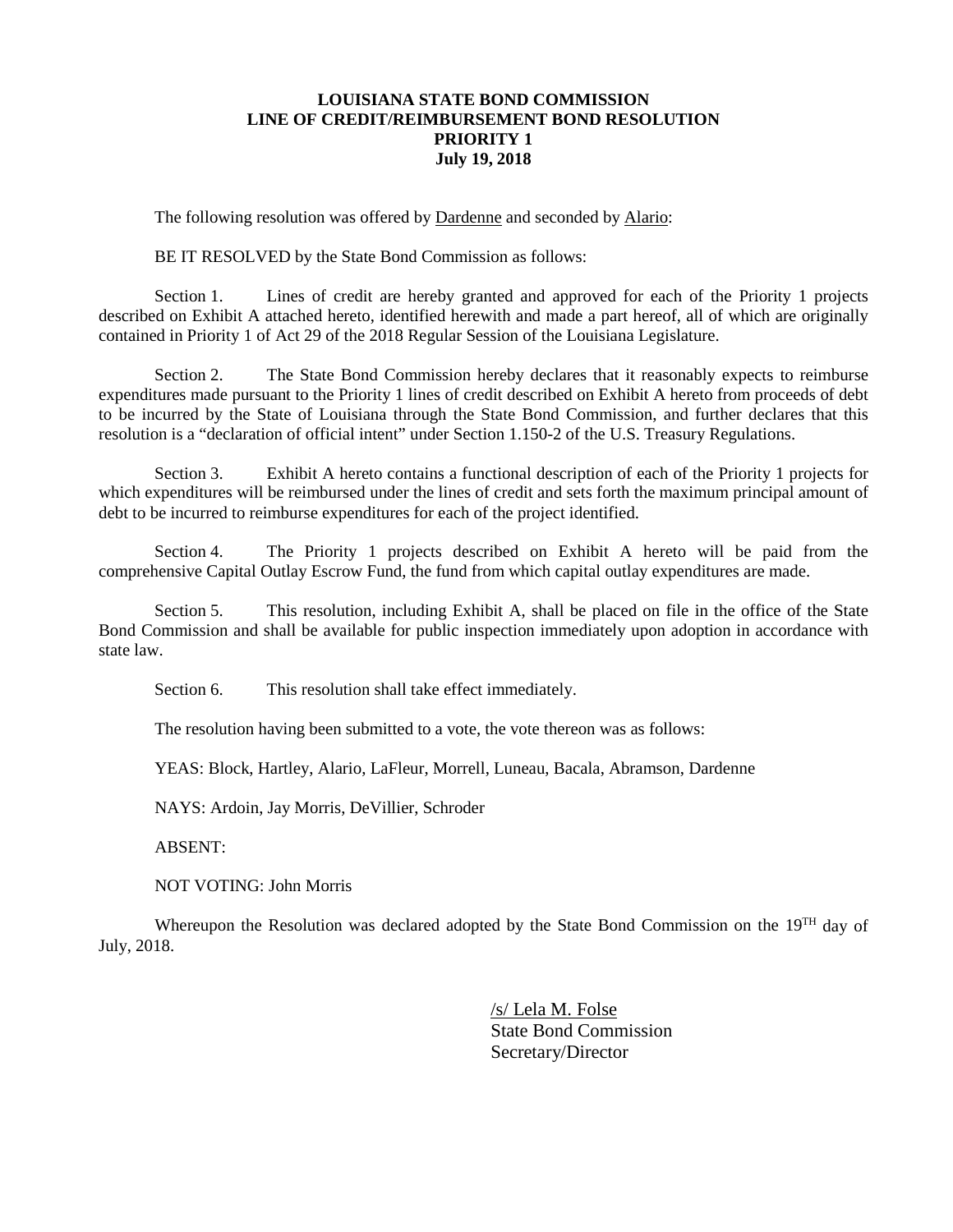### **LOUISIANA STATE BOND COMMISSION LINE OF CREDIT/REIMBURSEMENT BOND RESOLUTION PRIORITY 1 July 19, 2018**

The following resolution was offered by Dardenne and seconded by Alario:

BE IT RESOLVED by the State Bond Commission as follows:

Section 1. Lines of credit are hereby granted and approved for each of the Priority 1 projects described on Exhibit A attached hereto, identified herewith and made a part hereof, all of which are originally contained in Priority 1 of Act 29 of the 2018 Regular Session of the Louisiana Legislature.

Section 2. The State Bond Commission hereby declares that it reasonably expects to reimburse expenditures made pursuant to the Priority 1 lines of credit described on Exhibit A hereto from proceeds of debt to be incurred by the State of Louisiana through the State Bond Commission, and further declares that this resolution is a "declaration of official intent" under Section 1.150-2 of the U.S. Treasury Regulations.

Section 3. Exhibit A hereto contains a functional description of each of the Priority 1 projects for which expenditures will be reimbursed under the lines of credit and sets forth the maximum principal amount of debt to be incurred to reimburse expenditures for each of the project identified.

Section 4. The Priority 1 projects described on Exhibit A hereto will be paid from the comprehensive Capital Outlay Escrow Fund, the fund from which capital outlay expenditures are made.

Section 5. This resolution, including Exhibit A, shall be placed on file in the office of the State Bond Commission and shall be available for public inspection immediately upon adoption in accordance with state law.

Section 6. This resolution shall take effect immediately.

The resolution having been submitted to a vote, the vote thereon was as follows:

YEAS: Block, Hartley, Alario, LaFleur, Morrell, Luneau, Bacala, Abramson, Dardenne

NAYS: Ardoin, Jay Morris, DeVillier, Schroder

ABSENT:

NOT VOTING: John Morris

Whereupon the Resolution was declared adopted by the State Bond Commission on the 19<sup>TH</sup> day of July, 2018.

> /s/ Lela M. Folse State Bond Commission Secretary/Director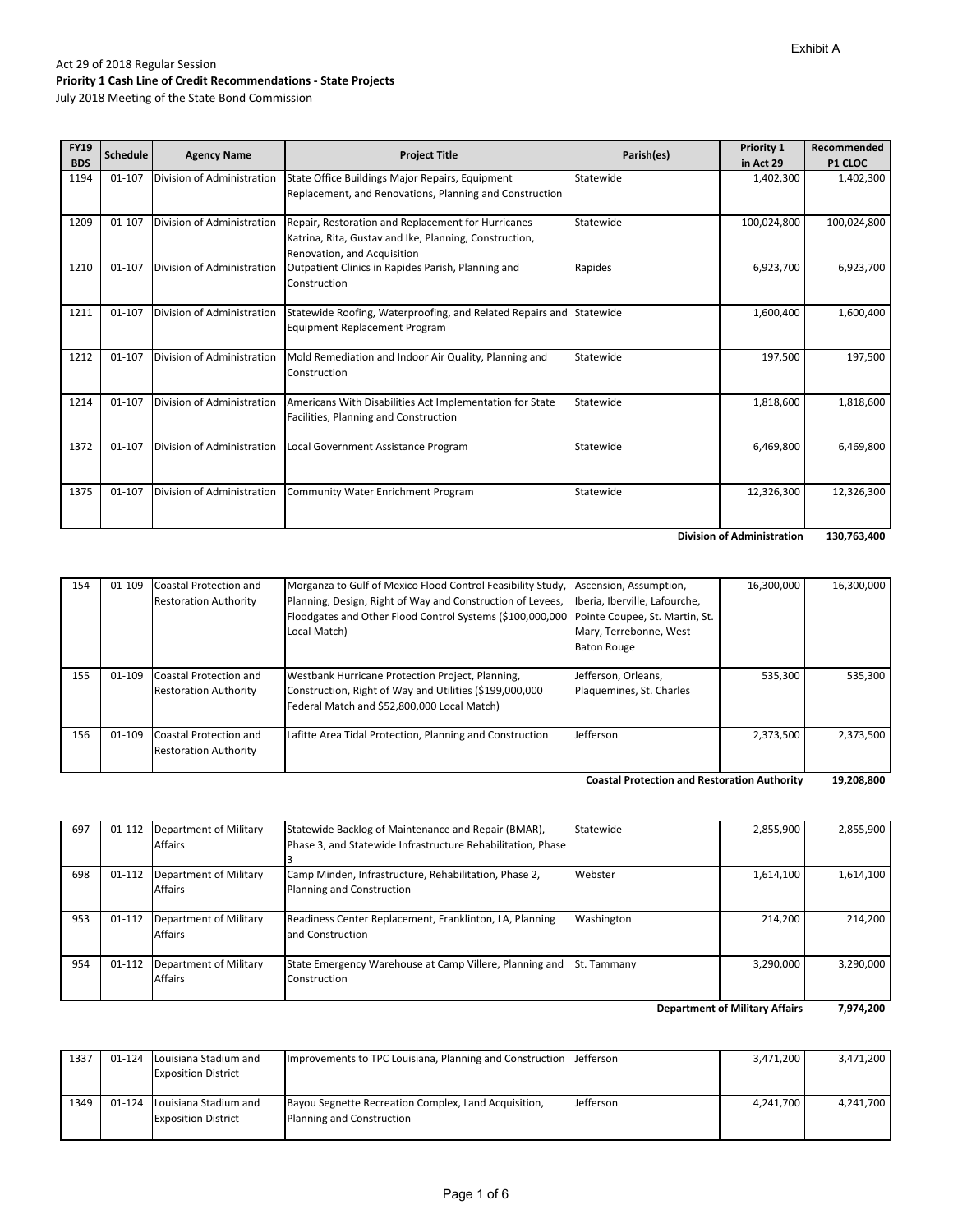July 2018 Meeting of the State Bond Commission

| <b>FY19</b><br><b>BDS</b> | <b>Schedule</b> | <b>Agency Name</b>         | <b>Project Title</b>                                                                                                                        | Parish(es) | <b>Priority 1</b><br>in Act 29               | Recommended<br><b>P1 CLOC</b> |
|---------------------------|-----------------|----------------------------|---------------------------------------------------------------------------------------------------------------------------------------------|------------|----------------------------------------------|-------------------------------|
| 1194                      | 01-107          | Division of Administration | State Office Buildings Major Repairs, Equipment<br>Replacement, and Renovations, Planning and Construction                                  | Statewide  | 1,402,300                                    | 1,402,300                     |
| 1209                      | 01-107          | Division of Administration | Repair, Restoration and Replacement for Hurricanes<br>Katrina, Rita, Gustav and Ike, Planning, Construction,<br>Renovation, and Acquisition | Statewide  | 100,024,800                                  | 100,024,800                   |
| 1210                      | 01-107          | Division of Administration | Outpatient Clinics in Rapides Parish, Planning and<br>Construction                                                                          | Rapides    | 6,923,700                                    | 6,923,700                     |
| 1211                      | 01-107          | Division of Administration | Statewide Roofing, Waterproofing, and Related Repairs and Statewide<br><b>Equipment Replacement Program</b>                                 |            | 1,600,400                                    | 1,600,400                     |
| 1212                      | 01-107          | Division of Administration | Mold Remediation and Indoor Air Quality, Planning and<br>Construction                                                                       | Statewide  | 197,500                                      | 197,500                       |
| 1214                      | 01-107          | Division of Administration | Americans With Disabilities Act Implementation for State<br>Facilities, Planning and Construction                                           | Statewide  | 1,818,600                                    | 1,818,600                     |
| 1372                      | 01-107          | Division of Administration | Local Government Assistance Program                                                                                                         | Statewide  | 6,469,800                                    | 6,469,800                     |
| 1375                      | 01-107          | Division of Administration | Community Water Enrichment Program                                                                                                          | Statewide  | 12,326,300                                   | 12,326,300                    |
|                           |                 |                            |                                                                                                                                             |            | Patrick and the first and a statement of the | 1227.72                       |

**130,763,400 Division of Administration** 

| 154 | 01-109 | Coastal Protection and       | Morganza to Gulf of Mexico Flood Control Feasibility Study, Ascension, Assumption,       |                          | 16,300,000 | 16,300,000 |
|-----|--------|------------------------------|------------------------------------------------------------------------------------------|--------------------------|------------|------------|
|     |        | <b>Restoration Authority</b> | Planning, Design, Right of Way and Construction of Levees, Iberia, Iberville, Lafourche, |                          |            |            |
|     |        |                              | Floodgates and Other Flood Control Systems (\$100,000,000 Pointe Coupee, St. Martin, St. |                          |            |            |
|     |        |                              | Local Match)                                                                             | Mary, Terrebonne, West   |            |            |
|     |        |                              |                                                                                          | <b>Baton Rouge</b>       |            |            |
|     |        |                              |                                                                                          |                          |            |            |
| 155 | 01-109 | Coastal Protection and       | Westbank Hurricane Protection Project, Planning,                                         | Jefferson, Orleans,      | 535,300    | 535,300    |
|     |        | <b>Restoration Authority</b> | Construction, Right of Way and Utilities (\$199,000,000                                  | Plaquemines, St. Charles |            |            |
|     |        |                              | Federal Match and \$52,800,000 Local Match)                                              |                          |            |            |
|     |        |                              |                                                                                          |                          |            |            |
| 156 | 01-109 | Coastal Protection and       | Lafitte Area Tidal Protection, Planning and Construction                                 | Jefferson                | 2,373,500  | 2,373,500  |
|     |        | <b>Restoration Authority</b> |                                                                                          |                          |            |            |
|     |        |                              |                                                                                          |                          |            |            |

**19,208,800 Coastal Protection and Restoration Authority** 

| 698<br>01-112<br>Department of Military<br><b>Affairs</b><br>953<br>01-112<br>Department of Military<br>Affairs | Camp Minden, Infrastructure, Rehabilitation, Phase 2,<br>Planning and Construction | Webster     | 1,614,100 |           |
|-----------------------------------------------------------------------------------------------------------------|------------------------------------------------------------------------------------|-------------|-----------|-----------|
|                                                                                                                 |                                                                                    |             |           | 1,614,100 |
|                                                                                                                 | Readiness Center Replacement, Franklinton, LA, Planning<br>and Construction        | Washington  | 214.200   | 214.200   |
| 954<br>01-112<br>Department of Military<br>Affairs                                                              | State Emergency Warehouse at Camp Villere, Planning and<br>Construction            | St. Tammany | 3,290,000 | 3,290,000 |

**7,974,200 Department of Military Affairs**

| 1337 | 01-124 Louisiana Stadium and<br><b>Exposition District</b> | Improvements to TPC Louisiana, Planning and Construction IJ efferson              |           | 3.471.200 | 3,471,200 |
|------|------------------------------------------------------------|-----------------------------------------------------------------------------------|-----------|-----------|-----------|
| 1349 | 01-124 Louisiana Stadium and<br><b>Exposition District</b> | Bayou Segnette Recreation Complex, Land Acquisition,<br>Planning and Construction | Jefferson | 4.241.700 | 4.241.700 |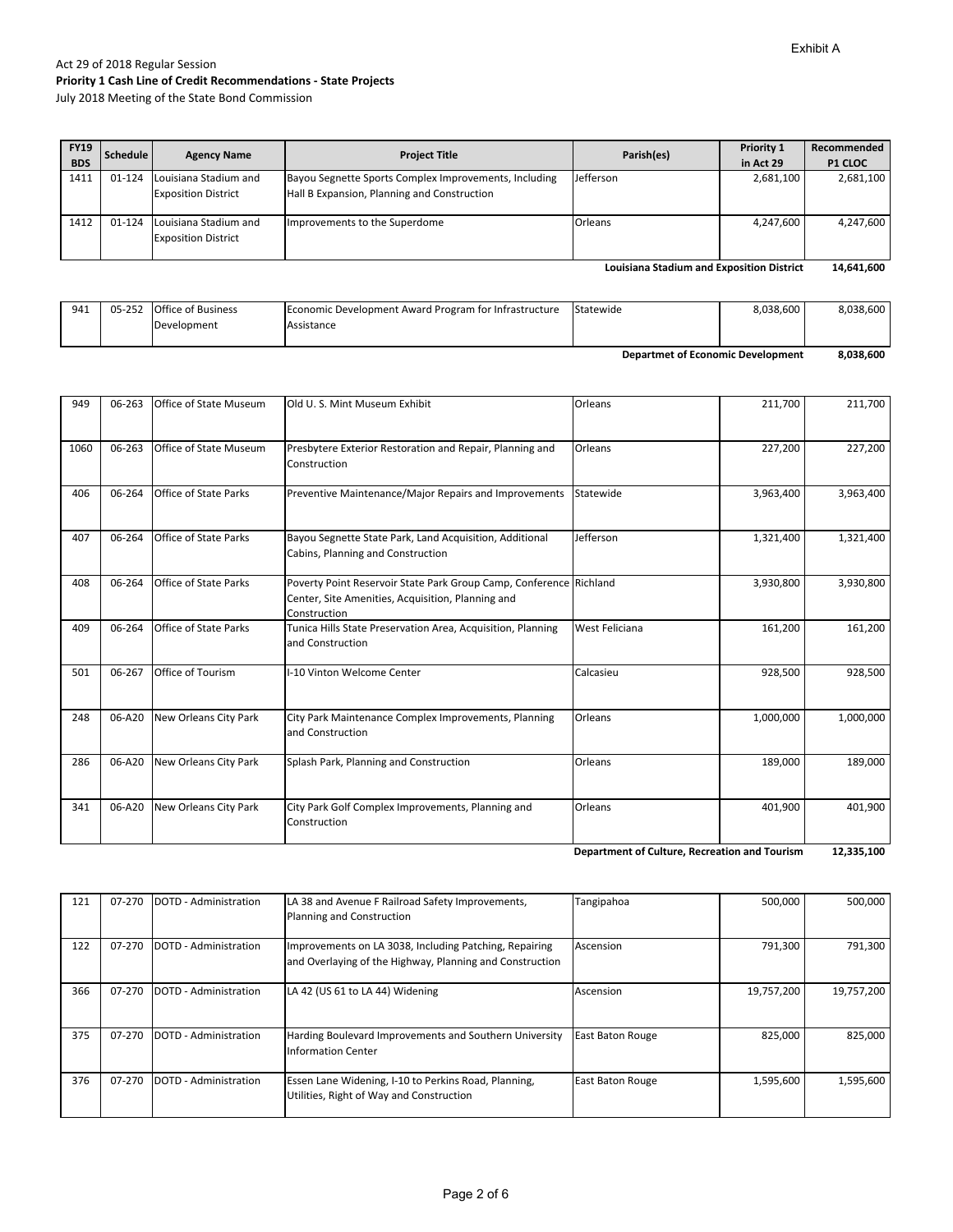July 2018 Meeting of the State Bond Commission

| <b>FY19</b><br><b>BDS</b> | Schedule | <b>Agency Name</b>                                  | <b>Project Title</b>                                                                                 | Parish(es) | Priority 1<br>in Act 29 | Recommended<br><b>P1 CLOC</b> |
|---------------------------|----------|-----------------------------------------------------|------------------------------------------------------------------------------------------------------|------------|-------------------------|-------------------------------|
| 1411                      | 01-124   | Louisiana Stadium and<br><b>Exposition District</b> | Bayou Segnette Sports Complex Improvements, Including<br>Hall B Expansion, Planning and Construction | Jefferson  | 2,681,100               | 2,681,100                     |
| 1412                      | 01-124   | Louisiana Stadium and<br><b>Exposition District</b> | Improvements to the Superdome                                                                        | Orleans    | 4,247,600               | 4,247,600                     |

**14,641,600 Louisiana Stadium and Exposition District**

| 941 | 05-252 | <b>Office of Business</b> | Economic Development Award Program for Infrastructure | Statewide | 8,038,600 | 8,038,600 |
|-----|--------|---------------------------|-------------------------------------------------------|-----------|-----------|-----------|
|     |        | Development               | Assistance                                            |           |           |           |
|     |        |                           |                                                       |           |           |           |

**8,038,600 Departmet of Economic Development**

| 949  | 06-263 | <b>Office of State Museum</b> | Old U.S. Mint Museum Exhibit                                                                                                            | Orleans               | 211,700   | 211,700   |
|------|--------|-------------------------------|-----------------------------------------------------------------------------------------------------------------------------------------|-----------------------|-----------|-----------|
| 1060 | 06-263 | Office of State Museum        | Presbytere Exterior Restoration and Repair, Planning and<br>Construction                                                                | Orleans               | 227,200   | 227,200   |
| 406  | 06-264 | <b>Office of State Parks</b>  | Preventive Maintenance/Major Repairs and Improvements                                                                                   | Statewide             | 3,963,400 | 3,963,400 |
| 407  | 06-264 | <b>Office of State Parks</b>  | Bayou Segnette State Park, Land Acquisition, Additional<br>Cabins, Planning and Construction                                            | Jefferson             | 1,321,400 | 1,321,400 |
| 408  | 06-264 | <b>Office of State Parks</b>  | Poverty Point Reservoir State Park Group Camp, Conference Richland<br>Center, Site Amenities, Acquisition, Planning and<br>Construction |                       | 3,930,800 | 3,930,800 |
| 409  | 06-264 | <b>Office of State Parks</b>  | Tunica Hills State Preservation Area, Acquisition, Planning<br>and Construction                                                         | <b>West Feliciana</b> | 161,200   | 161,200   |
| 501  | 06-267 | Office of Tourism             | I-10 Vinton Welcome Center                                                                                                              | Calcasieu             | 928,500   | 928,500   |
| 248  | 06-A20 | New Orleans City Park         | City Park Maintenance Complex Improvements, Planning<br>and Construction                                                                | Orleans               | 1,000,000 | 1,000,000 |
| 286  | 06-A20 | New Orleans City Park         | Splash Park, Planning and Construction                                                                                                  | Orleans               | 189,000   | 189,000   |
| 341  | 06-A20 | New Orleans City Park         | City Park Golf Complex Improvements, Planning and<br>Construction                                                                       | Orleans               | 401,900   | 401,900   |

**12,335,100 Department of Culture, Recreation and Tourism**

| 121 | 07-270 | DOTD - Administration | LA 38 and Avenue F Railroad Safety Improvements,<br>Planning and Construction                                      | Tangipahoa              | 500.000    | 500.000    |
|-----|--------|-----------------------|--------------------------------------------------------------------------------------------------------------------|-------------------------|------------|------------|
| 122 | 07-270 | DOTD - Administration | Improvements on LA 3038, Including Patching, Repairing<br>and Overlaying of the Highway, Planning and Construction | Ascension               | 791,300    | 791,300    |
| 366 | 07-270 | DOTD - Administration | LA 42 (US 61 to LA 44) Widening                                                                                    | Ascension               | 19,757,200 | 19,757,200 |
| 375 | 07-270 | DOTD - Administration | Harding Boulevard Improvements and Southern University<br><b>Information Center</b>                                | <b>East Baton Rouge</b> | 825,000    | 825,000    |
| 376 | 07-270 | DOTD - Administration | Essen Lane Widening, I-10 to Perkins Road, Planning,<br>Utilities, Right of Way and Construction                   | <b>East Baton Rouge</b> | 1,595,600  | 1,595,600  |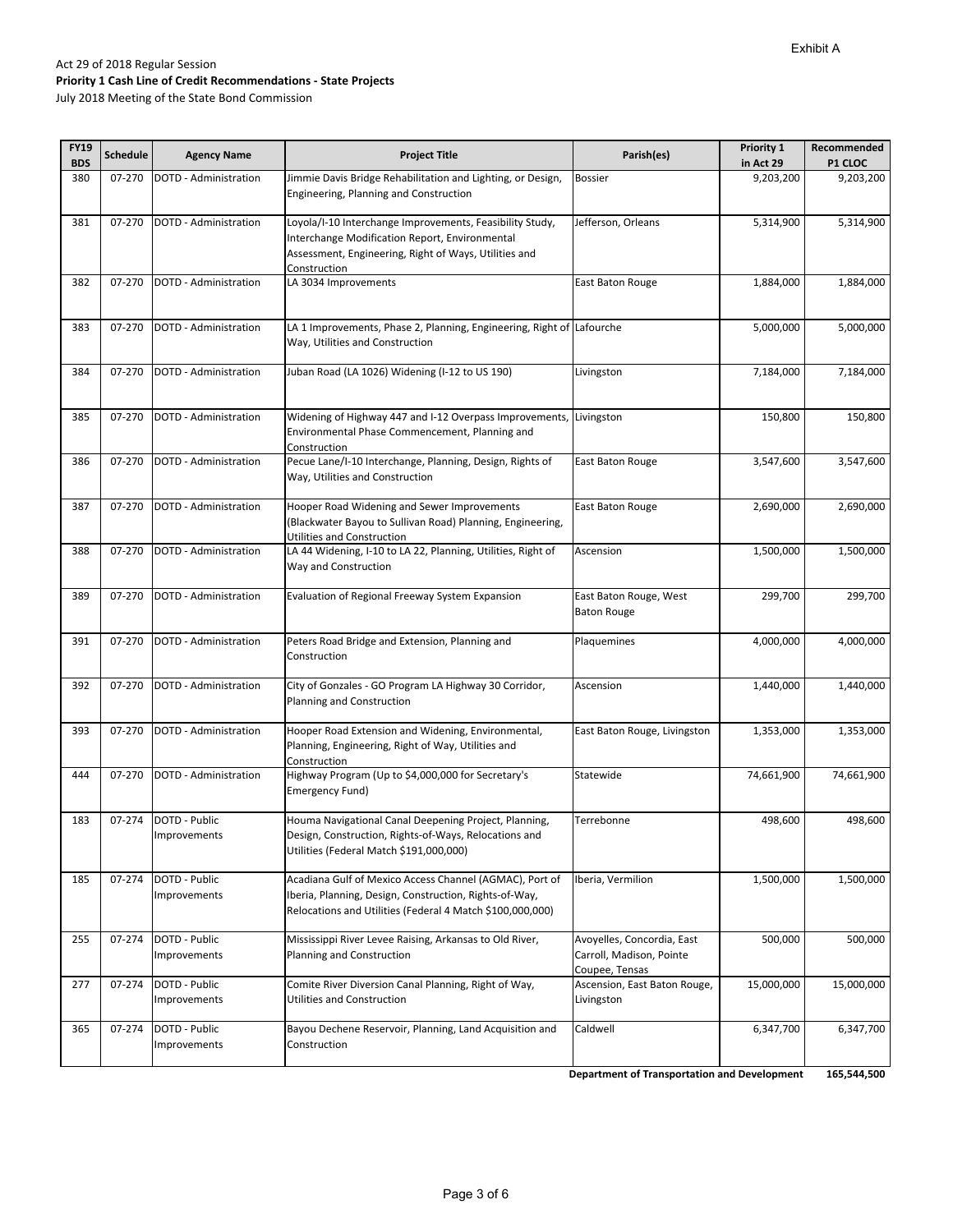#### Act 29 of 2018 Regular Session **Priority 1 Cash Line of Credit Recommendations ‐ State Projects** July 2018 Meeting of the State Bond Commission

| <b>FY19</b><br><b>BDS</b> | <b>Schedule</b> | <b>Agency Name</b>                   | <b>Project Title</b>                                                                                                                                                                | Parish(es)                                                               | Priority 1<br>in Act 29 | Recommended<br>P1 CLOC |
|---------------------------|-----------------|--------------------------------------|-------------------------------------------------------------------------------------------------------------------------------------------------------------------------------------|--------------------------------------------------------------------------|-------------------------|------------------------|
| 380                       | 07-270          | DOTD - Administration                | Jimmie Davis Bridge Rehabilitation and Lighting, or Design,<br>Engineering, Planning and Construction                                                                               | <b>Bossier</b>                                                           | 9,203,200               | 9,203,200              |
| 381                       | 07-270          | DOTD - Administration                | Loyola/I-10 Interchange Improvements, Feasibility Study,<br>Interchange Modification Report, Environmental<br>Assessment, Engineering, Right of Ways, Utilities and<br>Construction | Jefferson, Orleans                                                       | 5,314,900               | 5,314,900              |
| 382                       | 07-270          | DOTD - Administration                | LA 3034 Improvements                                                                                                                                                                | East Baton Rouge                                                         | 1,884,000               | 1,884,000              |
| 383                       | 07-270          | DOTD - Administration                | LA 1 Improvements, Phase 2, Planning, Engineering, Right of Lafourche<br>Way, Utilities and Construction                                                                            |                                                                          | 5,000,000               | 5,000,000              |
| 384                       | 07-270          | DOTD - Administration                | Juban Road (LA 1026) Widening (I-12 to US 190)                                                                                                                                      | Livingston                                                               | 7,184,000               | 7,184,000              |
| 385                       | 07-270          | DOTD - Administration                | Widening of Highway 447 and I-12 Overpass Improvements,<br>Environmental Phase Commencement, Planning and<br>Construction                                                           | Livingston                                                               | 150,800                 | 150,800                |
| 386                       | 07-270          | DOTD - Administration                | Pecue Lane/I-10 Interchange, Planning, Design, Rights of<br>Way, Utilities and Construction                                                                                         | East Baton Rouge                                                         | 3,547,600               | 3,547,600              |
| 387                       | 07-270          | DOTD - Administration                | Hooper Road Widening and Sewer Improvements<br>(Blackwater Bayou to Sullivan Road) Planning, Engineering,<br>Utilities and Construction                                             | East Baton Rouge                                                         | 2,690,000               | 2,690,000              |
| 388                       | 07-270          | DOTD - Administration                | LA 44 Widening, I-10 to LA 22, Planning, Utilities, Right of<br>Way and Construction                                                                                                | Ascension                                                                | 1,500,000               | 1,500,000              |
| 389                       | 07-270          | DOTD - Administration                | Evaluation of Regional Freeway System Expansion                                                                                                                                     | East Baton Rouge, West<br><b>Baton Rouge</b>                             | 299,700                 | 299,700                |
| 391                       | 07-270          | DOTD - Administration                | Peters Road Bridge and Extension, Planning and<br>Construction                                                                                                                      | Plaquemines                                                              | 4,000,000               | 4,000,000              |
| 392                       | 07-270          | DOTD - Administration                | City of Gonzales - GO Program LA Highway 30 Corridor,<br>Planning and Construction                                                                                                  | Ascension                                                                | 1,440,000               | 1,440,000              |
| 393                       | 07-270          | DOTD - Administration                | Hooper Road Extension and Widening, Environmental,<br>Planning, Engineering, Right of Way, Utilities and<br>Construction                                                            | East Baton Rouge, Livingston                                             | 1,353,000               | 1,353,000              |
| 444                       | 07-270          | DOTD - Administration                | Highway Program (Up to \$4,000,000 for Secretary's<br>Emergency Fund)                                                                                                               | Statewide                                                                | 74,661,900              | 74,661,900             |
| 183                       | 07-274          | DOTD - Public<br><i>improvements</i> | Houma Navigational Canal Deepening Project, Planning,<br>Design, Construction, Rights-of-Ways, Relocations and<br>Utilities (Federal Match \$191,000,000)                           | Terrebonne                                                               | 498,600                 | 498,600                |
| 185                       | 07-274          | DOTD - Public<br>Improvements        | Acadiana Gulf of Mexico Access Channel (AGMAC), Port of<br>Iberia, Planning, Design, Construction, Rights-of-Way,<br>Relocations and Utilities (Federal 4 Match \$100,000,000)      | Iberia, Vermilion                                                        | 1,500,000               | 1,500,000              |
| 255                       | 07-274          | DOTD - Public<br>Improvements        | Mississippi River Levee Raising, Arkansas to Old River,<br>Planning and Construction                                                                                                | Avoyelles, Concordia, East<br>Carroll, Madison, Pointe<br>Coupee, Tensas | 500,000                 | 500,000                |
| 277                       | 07-274          | DOTD - Public<br>Improvements        | Comite River Diversion Canal Planning, Right of Way,<br>Utilities and Construction                                                                                                  | Ascension, East Baton Rouge,<br>Livingston                               | 15,000,000              | 15,000,000             |
| 365                       | 07-274          | DOTD - Public<br>Improvements        | Bayou Dechene Reservoir, Planning, Land Acquisition and<br>Construction                                                                                                             | Caldwell                                                                 | 6,347,700               | 6,347,700              |
|                           |                 |                                      |                                                                                                                                                                                     | <b>Department of Transportation and Development</b>                      |                         | 165,544,500            |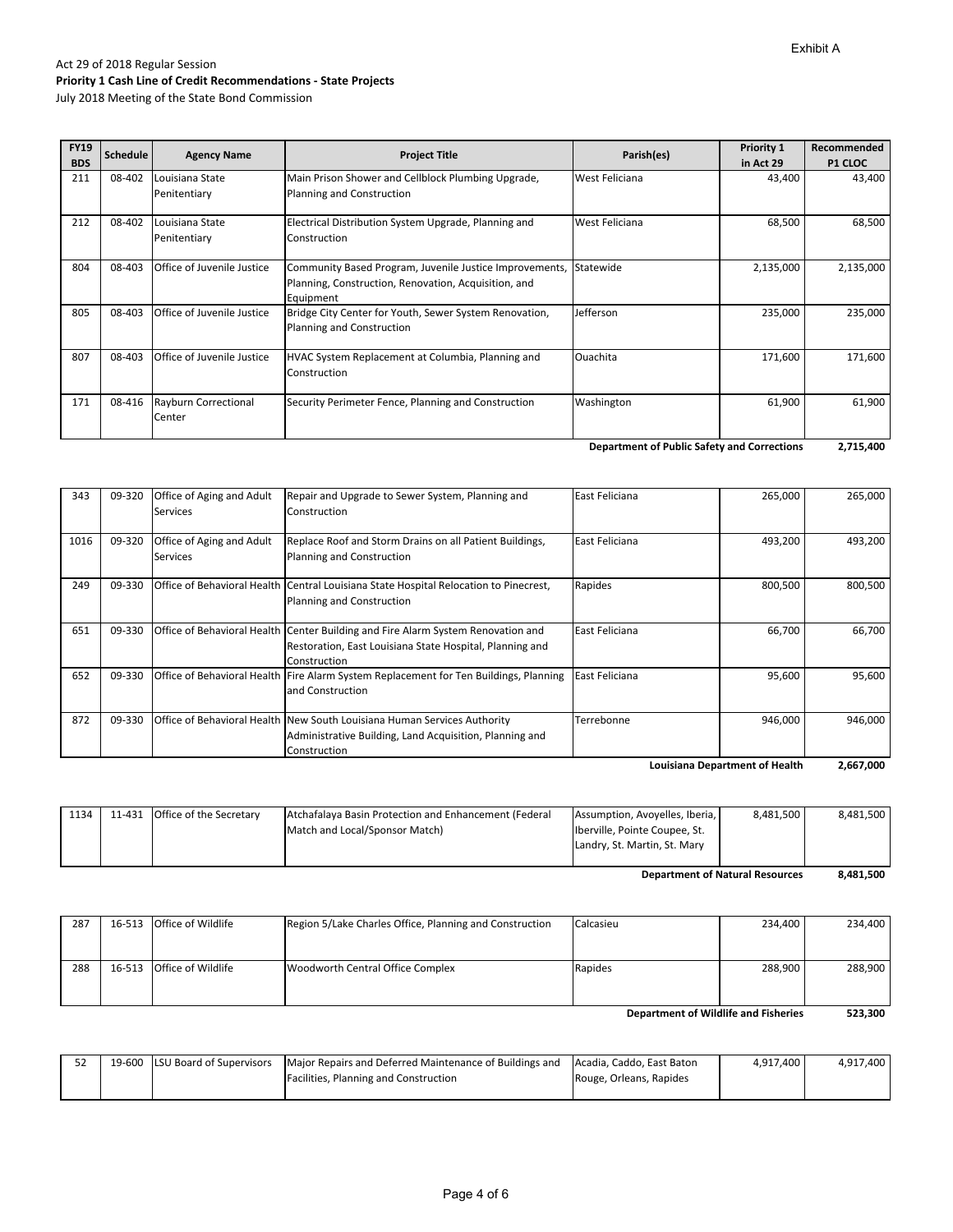July 2018 Meeting of the State Bond Commission

| <b>FY19</b><br><b>BDS</b> | Schedule | <b>Agency Name</b>                    | <b>Project Title</b>                                                                                                         | Parish(es)     | Priority 1<br>in Act 29 | Recommended<br><b>P1 CLOC</b> |
|---------------------------|----------|---------------------------------------|------------------------------------------------------------------------------------------------------------------------------|----------------|-------------------------|-------------------------------|
| 211                       | 08-402   | Louisiana State<br>Penitentiary       | Main Prison Shower and Cellblock Plumbing Upgrade,<br>Planning and Construction                                              | West Feliciana | 43,400                  | 43,400                        |
| 212                       | 08-402   | Louisiana State<br>Penitentiary       | Electrical Distribution System Upgrade, Planning and<br>Construction                                                         | West Feliciana | 68,500                  | 68,500                        |
| 804                       | 08-403   | Office of Juvenile Justice            | Community Based Program, Juvenile Justice Improvements,<br>Planning, Construction, Renovation, Acquisition, and<br>Equipment | Statewide      | 2,135,000               | 2,135,000                     |
| 805                       | 08-403   | Office of Juvenile Justice            | Bridge City Center for Youth, Sewer System Renovation,<br>Planning and Construction                                          | Jefferson      | 235,000                 | 235,000                       |
| 807                       | 08-403   | Office of Juvenile Justice            | HVAC System Replacement at Columbia, Planning and<br>Construction                                                            | Ouachita       | 171,600                 | 171,600                       |
| 171                       | 08-416   | <b>Rayburn Correctional</b><br>Center | Security Perimeter Fence, Planning and Construction                                                                          | Washington     | 61,900                  | 61,900                        |

**2,715,400 Department of Public Safety and Corrections**

|      |        |                                              |                                                                                                                                                              |                | <b>Louisiana Department of Health</b> | 2,667,000 |
|------|--------|----------------------------------------------|--------------------------------------------------------------------------------------------------------------------------------------------------------------|----------------|---------------------------------------|-----------|
|      |        |                                              | Administrative Building, Land Acquisition, Planning and<br>Construction                                                                                      |                |                                       |           |
| 872  | 09-330 |                                              | Office of Behavioral Health New South Louisiana Human Services Authority                                                                                     | Terrebonne     | 946,000                               | 946,000   |
| 652  | 09-330 |                                              | Office of Behavioral Health Fire Alarm System Replacement for Ten Buildings, Planning<br>and Construction                                                    | East Feliciana | 95,600                                | 95,600    |
| 651  | 09-330 |                                              | Office of Behavioral Health Center Building and Fire Alarm System Renovation and<br>Restoration, East Louisiana State Hospital, Planning and<br>Construction | East Feliciana | 66,700                                | 66,700    |
| 249  | 09-330 |                                              | Office of Behavioral Health Central Louisiana State Hospital Relocation to Pinecrest,<br>Planning and Construction                                           | Rapides        | 800,500                               | 800,500   |
| 1016 | 09-320 | Office of Aging and Adult<br><b>Services</b> | Replace Roof and Storm Drains on all Patient Buildings,<br>Planning and Construction                                                                         | East Feliciana | 493,200                               | 493,200   |
| 343  | 09-320 | Office of Aging and Adult<br>Services        | Repair and Upgrade to Sewer System, Planning and<br>Construction                                                                                             | East Feliciana | 265,000                               | 265,000   |

|      |                                |                                                       |                                  |           | 0.00100   |
|------|--------------------------------|-------------------------------------------------------|----------------------------------|-----------|-----------|
|      |                                |                                                       |                                  |           |           |
|      |                                |                                                       | Landry, St. Martin, St. Mary     |           |           |
|      |                                | Match and Local/Sponsor Match)                        | Iberville, Pointe Coupee, St.    |           |           |
| 1134 | 11-431 Office of the Secretary | Atchafalaya Basin Protection and Enhancement (Federal | Assumption, Avoyelles, Iberia, I | 8.481.500 | 8.481.500 |

**8,481,500 Department of Natural Resources**

| <b>Department of Wildlife and Fisheries</b> |  |                           |                                                         |           |         | 523.300 |
|---------------------------------------------|--|---------------------------|---------------------------------------------------------|-----------|---------|---------|
|                                             |  |                           |                                                         |           |         |         |
| 288                                         |  | 16-513 Office of Wildlife | Woodworth Central Office Complex                        | Rapides   | 288.900 | 288.900 |
|                                             |  |                           |                                                         |           |         |         |
| 287                                         |  | 16-513 Office of Wildlife | Region 5/Lake Charles Office, Planning and Construction | Calcasieu | 234.400 | 234.400 |

52 | 19‐600 LSU Board of Supervisors | Major Repairs and Deferred Maintenance of Buildings and Facilities, Planning and Construction Acadia, Caddo, East Baton Rouge, Orleans, Rapides 4,917,400 4,917,400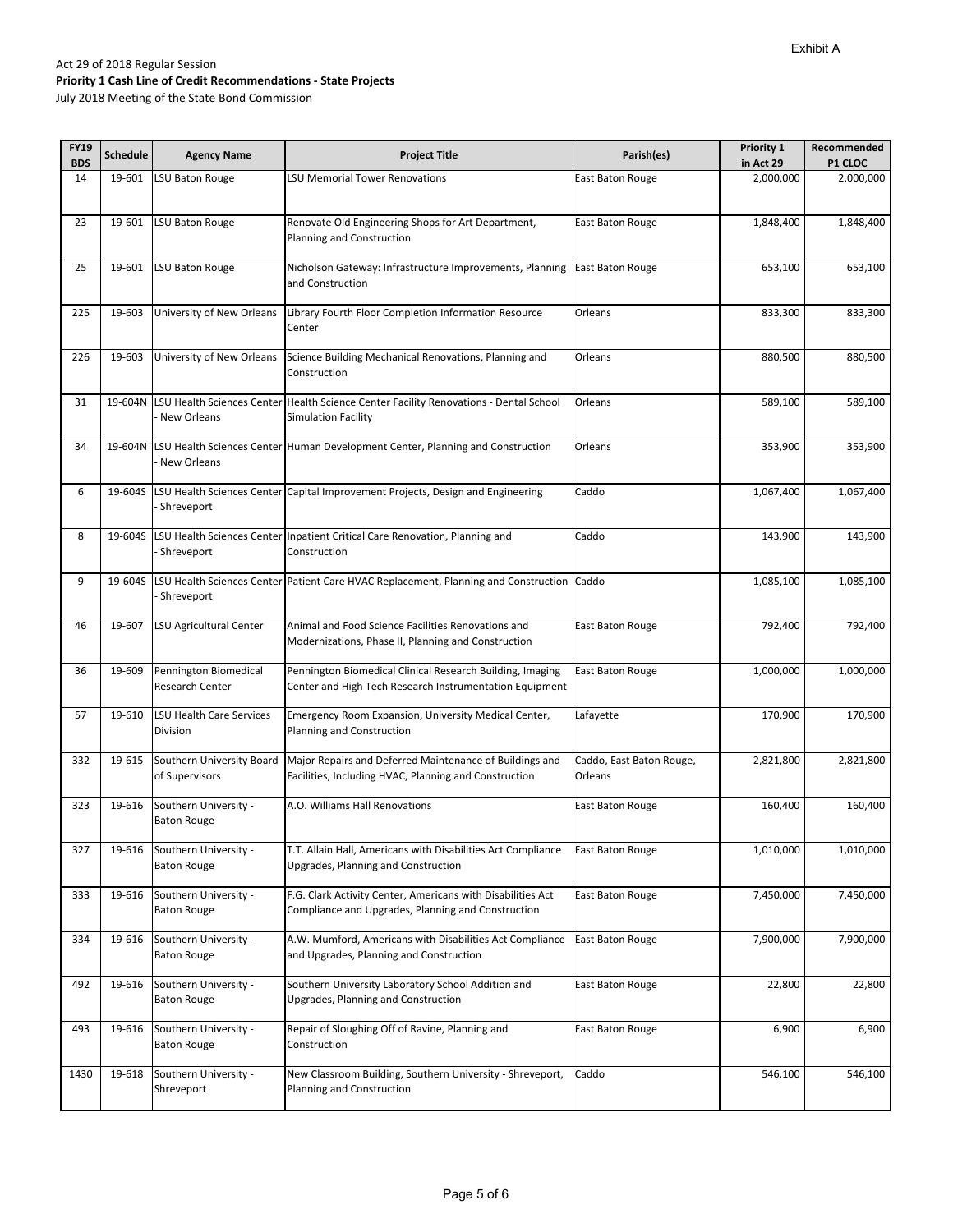| <b>FY19</b><br><b>BDS</b> | <b>Schedule</b> | <b>Agency Name</b>                          | <b>Project Title</b>                                                                                                        | Parish(es)               | Priority 1<br>in Act 29 | Recommended<br>P1 CLOC |
|---------------------------|-----------------|---------------------------------------------|-----------------------------------------------------------------------------------------------------------------------------|--------------------------|-------------------------|------------------------|
| 14                        | 19-601          | LSU Baton Rouge                             | <b>LSU Memorial Tower Renovations</b>                                                                                       | East Baton Rouge         | 2,000,000               | 2,000,000              |
|                           |                 |                                             |                                                                                                                             |                          |                         |                        |
| 23                        | 19-601          | <b>LSU Baton Rouge</b>                      | Renovate Old Engineering Shops for Art Department,                                                                          | East Baton Rouge         | 1,848,400               | 1,848,400              |
|                           |                 |                                             | Planning and Construction                                                                                                   |                          |                         |                        |
|                           |                 |                                             |                                                                                                                             |                          |                         |                        |
| 25                        | 19-601          | LSU Baton Rouge                             | Nicholson Gateway: Infrastructure Improvements, Planning   East Baton Rouge<br>and Construction                             |                          | 653,100                 | 653,100                |
|                           |                 |                                             |                                                                                                                             |                          |                         |                        |
| 225                       | 19-603          | University of New Orleans                   | Library Fourth Floor Completion Information Resource                                                                        | Orleans                  | 833,300                 | 833,300                |
|                           |                 |                                             | Center                                                                                                                      |                          |                         |                        |
| 226                       | 19-603          | University of New Orleans                   | Science Building Mechanical Renovations, Planning and                                                                       | Orleans                  | 880,500                 | 880,500                |
|                           |                 |                                             | Construction                                                                                                                |                          |                         |                        |
|                           |                 |                                             |                                                                                                                             |                          |                         |                        |
| 31                        |                 | New Orleans                                 | 19-604N LSU Health Sciences Center Health Science Center Facility Renovations - Dental School<br><b>Simulation Facility</b> | Orleans                  | 589,100                 | 589,100                |
|                           |                 |                                             |                                                                                                                             |                          |                         |                        |
| 34                        | 19-604N         |                                             | LSU Health Sciences Center Human Development Center, Planning and Construction                                              | Orleans                  | 353,900                 | 353,900                |
|                           |                 | New Orleans                                 |                                                                                                                             |                          |                         |                        |
| 6                         | 19-604S         |                                             | LSU Health Sciences Center Capital Improvement Projects, Design and Engineering                                             | Caddo                    | 1,067,400               | 1,067,400              |
|                           |                 | Shreveport                                  |                                                                                                                             |                          |                         |                        |
|                           |                 |                                             |                                                                                                                             |                          |                         |                        |
| 8                         | 19-604S         | Shreveport                                  | LSU Health Sciences Center Inpatient Critical Care Renovation, Planning and<br>Construction                                 | Caddo                    | 143,900                 | 143,900                |
|                           |                 |                                             |                                                                                                                             |                          |                         |                        |
| 9                         | 19-604S         |                                             | LSU Health Sciences Center Patient Care HVAC Replacement, Planning and Construction Caddo                                   |                          | 1,085,100               | 1,085,100              |
|                           |                 | Shreveport                                  |                                                                                                                             |                          |                         |                        |
| 46                        | 19-607          | LSU Agricultural Center                     | Animal and Food Science Facilities Renovations and                                                                          | East Baton Rouge         | 792,400                 | 792,400                |
|                           |                 |                                             | Modernizations, Phase II, Planning and Construction                                                                         |                          |                         |                        |
|                           |                 |                                             |                                                                                                                             |                          |                         |                        |
| 36                        | 19-609          | Pennington Biomedical<br>Research Center    | Pennington Biomedical Clinical Research Building, Imaging<br>Center and High Tech Research Instrumentation Equipment        | East Baton Rouge         | 1,000,000               | 1,000,000              |
|                           |                 |                                             |                                                                                                                             |                          |                         |                        |
| 57                        | 19-610          | <b>LSU Health Care Services</b>             | Emergency Room Expansion, University Medical Center,                                                                        | Lafayette                | 170,900                 | 170,900                |
|                           |                 | Division                                    | Planning and Construction                                                                                                   |                          |                         |                        |
| 332                       | 19-615          | Southern University Board                   | Major Repairs and Deferred Maintenance of Buildings and                                                                     | Caddo, East Baton Rouge, | 2,821,800               | 2,821,800              |
|                           |                 | of Supervisors                              | Facilities, Including HVAC, Planning and Construction                                                                       | Orleans                  |                         |                        |
| 323                       | 19-616          |                                             | A.O. Williams Hall Renovations                                                                                              |                          | 160,400                 | 160,400                |
|                           |                 | Southern University -<br><b>Baton Rouge</b> |                                                                                                                             | East Baton Rouge         |                         |                        |
|                           |                 |                                             |                                                                                                                             |                          |                         |                        |
| 327                       | 19-616          | Southern University -                       | T.T. Allain Hall, Americans with Disabilities Act Compliance                                                                | East Baton Rouge         | 1,010,000               | 1,010,000              |
|                           |                 | <b>Baton Rouge</b>                          | Upgrades, Planning and Construction                                                                                         |                          |                         |                        |
| 333                       | 19-616          | Southern University -                       | F.G. Clark Activity Center, Americans with Disabilities Act                                                                 | East Baton Rouge         | 7,450,000               | 7,450,000              |
|                           |                 | <b>Baton Rouge</b>                          | Compliance and Upgrades, Planning and Construction                                                                          |                          |                         |                        |
| 334                       | 19-616          | Southern University -                       | A.W. Mumford, Americans with Disabilities Act Compliance                                                                    | East Baton Rouge         | 7,900,000               | 7,900,000              |
|                           |                 | <b>Baton Rouge</b>                          | and Upgrades, Planning and Construction                                                                                     |                          |                         |                        |
|                           |                 |                                             |                                                                                                                             |                          |                         |                        |
| 492                       | 19-616          | Southern University -                       | Southern University Laboratory School Addition and                                                                          | East Baton Rouge         | 22,800                  | 22,800                 |
|                           |                 | <b>Baton Rouge</b>                          | Upgrades, Planning and Construction                                                                                         |                          |                         |                        |
| 493                       | 19-616          | Southern University -                       | Repair of Sloughing Off of Ravine, Planning and                                                                             | East Baton Rouge         | 6,900                   | 6,900                  |
|                           |                 | <b>Baton Rouge</b>                          | Construction                                                                                                                |                          |                         |                        |
| 1430                      | 19-618          | Southern University -                       | New Classroom Building, Southern University - Shreveport,                                                                   | Caddo                    | 546,100                 | 546,100                |
|                           |                 | Shreveport                                  | Planning and Construction                                                                                                   |                          |                         |                        |
|                           |                 |                                             |                                                                                                                             |                          |                         |                        |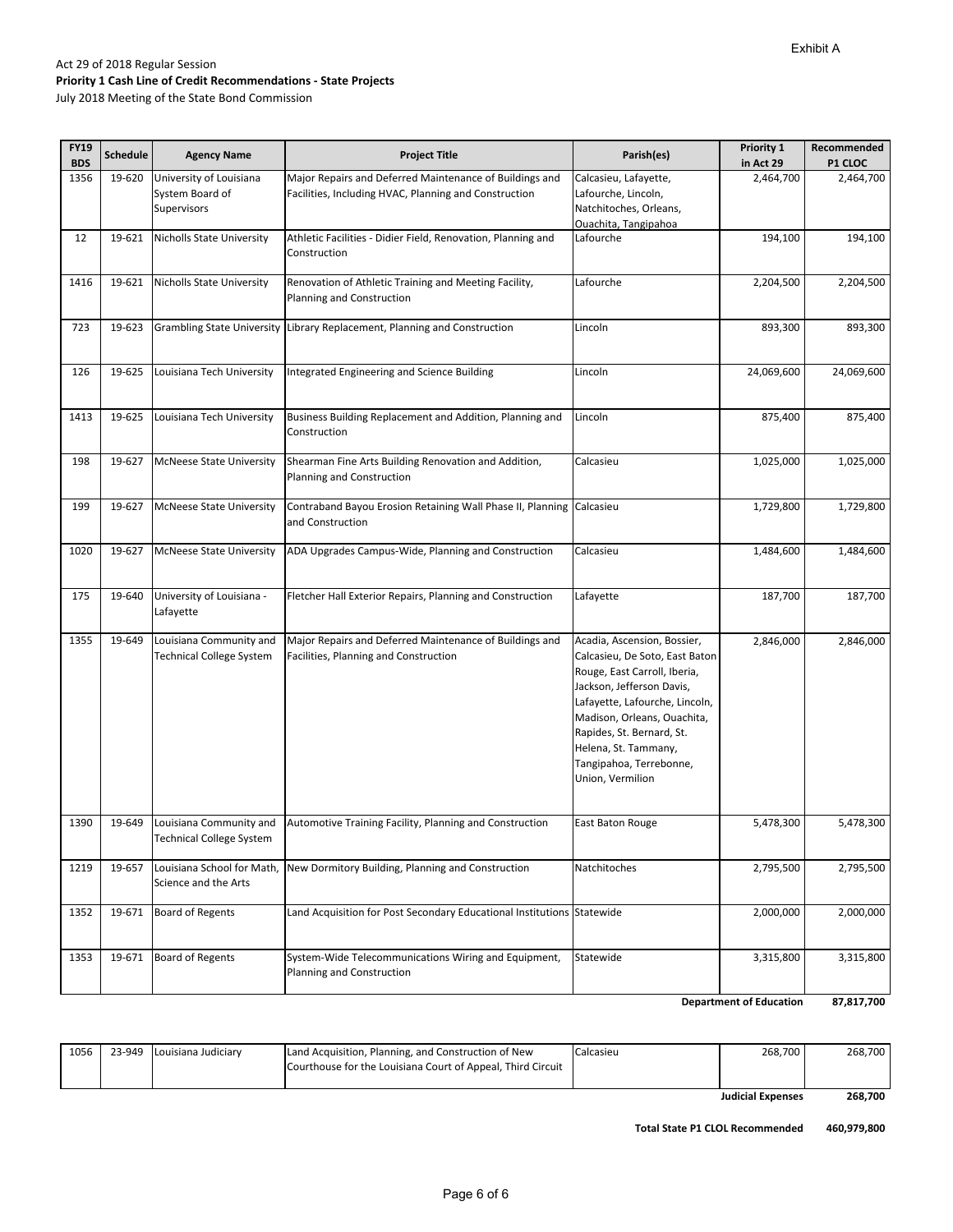**87,817,700**

#### Act 29 of 2018 Regular Session **Priority 1 Cash Line of Credit Recommendations ‐ State Projects** July 2018 Meeting of the State Bond Commission

1219 19-657 Louisiana School for Math,

Science and the Arts

1353 19‐671 Board of Regents System-Wide Telecommunications Wiring and Equipment,

Planning and Construction

| <b>FY19</b> |          |                                                            |                                                                                                                  |                                                                                                                                                                                                                                                                                                 | Priority 1 | Recommended |
|-------------|----------|------------------------------------------------------------|------------------------------------------------------------------------------------------------------------------|-------------------------------------------------------------------------------------------------------------------------------------------------------------------------------------------------------------------------------------------------------------------------------------------------|------------|-------------|
| <b>BDS</b>  | Schedule | <b>Agency Name</b>                                         | <b>Project Title</b>                                                                                             | Parish(es)                                                                                                                                                                                                                                                                                      | in Act 29  | P1 CLOC     |
| 1356        | 19-620   | University of Louisiana<br>System Board of<br>Supervisors  | Major Repairs and Deferred Maintenance of Buildings and<br>Facilities, Including HVAC, Planning and Construction | Calcasieu, Lafayette,<br>Lafourche, Lincoln,<br>Natchitoches, Orleans,<br>Ouachita, Tangipahoa                                                                                                                                                                                                  | 2,464,700  | 2,464,700   |
| 12          | 19-621   | Nicholls State University                                  | Athletic Facilities - Didier Field, Renovation, Planning and<br>Construction                                     | Lafourche                                                                                                                                                                                                                                                                                       | 194,100    | 194,100     |
| 1416        | 19-621   | <b>Nicholls State University</b>                           | Renovation of Athletic Training and Meeting Facility,<br>Planning and Construction                               | Lafourche                                                                                                                                                                                                                                                                                       | 2,204,500  | 2,204,500   |
| 723         | 19-623   |                                                            | Grambling State University Library Replacement, Planning and Construction                                        | Lincoln                                                                                                                                                                                                                                                                                         | 893,300    | 893,300     |
| 126         | 19-625   | Louisiana Tech University                                  | Integrated Engineering and Science Building                                                                      | Lincoln                                                                                                                                                                                                                                                                                         | 24,069,600 | 24,069,600  |
| 1413        | 19-625   | Louisiana Tech University                                  | Business Building Replacement and Addition, Planning and<br>Construction                                         | Lincoln                                                                                                                                                                                                                                                                                         | 875,400    | 875,400     |
| 198         | 19-627   | <b>McNeese State University</b>                            | Shearman Fine Arts Building Renovation and Addition,<br>Planning and Construction                                | Calcasieu                                                                                                                                                                                                                                                                                       | 1,025,000  | 1,025,000   |
| 199         | 19-627   | <b>McNeese State University</b>                            | Contraband Bayou Erosion Retaining Wall Phase II, Planning<br>and Construction                                   | Calcasieu                                                                                                                                                                                                                                                                                       | 1,729,800  | 1,729,800   |
| 1020        | 19-627   | <b>McNeese State University</b>                            | ADA Upgrades Campus-Wide, Planning and Construction                                                              | Calcasieu                                                                                                                                                                                                                                                                                       | 1,484,600  | 1,484,600   |
| 175         | 19-640   | University of Louisiana -<br>Lafayette                     | Fletcher Hall Exterior Repairs, Planning and Construction                                                        | Lafayette                                                                                                                                                                                                                                                                                       | 187,700    | 187,700     |
| 1355        | 19-649   | Louisiana Community and<br>Technical College System        | Major Repairs and Deferred Maintenance of Buildings and<br>Facilities, Planning and Construction                 | Acadia, Ascension, Bossier,<br>Calcasieu, De Soto, East Baton<br>Rouge, East Carroll, Iberia,<br>Jackson, Jefferson Davis,<br>Lafayette, Lafourche, Lincoln,<br>Madison, Orleans, Ouachita,<br>Rapides, St. Bernard, St.<br>Helena, St. Tammany,<br>Tangipahoa, Terrebonne,<br>Union, Vermilion | 2,846,000  | 2,846,000   |
| 1390        | 19-649   | Louisiana Community and<br><b>Technical College System</b> | Automotive Training Facility, Planning and Construction                                                          | East Baton Rouge                                                                                                                                                                                                                                                                                | 5,478,300  | 5,478,300   |

1056 23-949 Louisiana Judiciary Land Acquisition, Planning, and Construction of New Courthouse for the Louisiana Court of Appeal, Third Circuit Calcasieu 268,700 268,700 **268,700 Judicial Expenses**

1352 19‐671 Board of Regents Land Acquisition for Post Secondary Educational Institutions Statewide 2,000,000 2,000,000 2,000,000

New Dormitory Building, Planning and Construction Natchitoches 2,795,500 2,795,500 2,795,500

**460,979,800 Total State P1 CLOL Recommended**

Statewide 3,315,800 3,315,800

**Department of Education**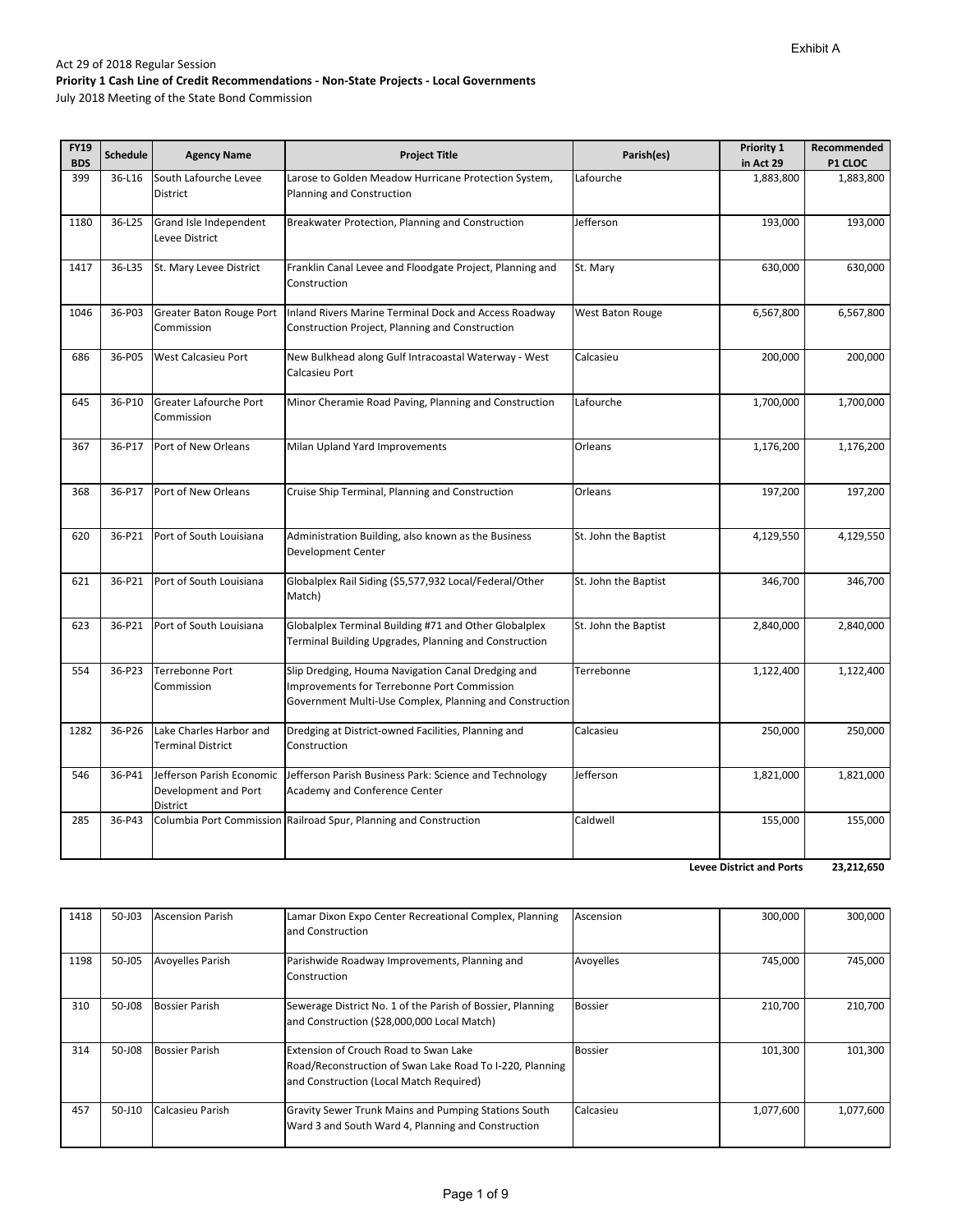July 2018 Meeting of the State Bond Commission

| <b>FY19</b><br><b>BDS</b> | <b>Schedule</b> | <b>Agency Name</b>                                            | <b>Project Title</b>                                                                                                                                                | Parish(es)           | Priority 1<br>in Act 29 | Recommended<br>P1 CLOC |
|---------------------------|-----------------|---------------------------------------------------------------|---------------------------------------------------------------------------------------------------------------------------------------------------------------------|----------------------|-------------------------|------------------------|
| 399                       | 36-L16          | South Lafourche Levee<br>District                             | Larose to Golden Meadow Hurricane Protection System,<br>Planning and Construction                                                                                   | Lafourche            | 1,883,800               | 1,883,800              |
| 1180                      | 36-L25          | Grand Isle Independent<br>Levee District                      | Breakwater Protection, Planning and Construction                                                                                                                    | Jefferson            | 193,000                 | 193,000                |
| 1417                      | 36-L35          | St. Mary Levee District                                       | Franklin Canal Levee and Floodgate Project, Planning and<br>Construction                                                                                            | St. Mary             | 630,000                 | 630,000                |
| 1046                      | 36-P03          | Greater Baton Rouge Port<br>Commission                        | Inland Rivers Marine Terminal Dock and Access Roadway<br>Construction Project, Planning and Construction                                                            | West Baton Rouge     | 6,567,800               | 6,567,800              |
| 686                       | 36-P05          | West Calcasieu Port                                           | New Bulkhead along Gulf Intracoastal Waterway - West<br>Calcasieu Port                                                                                              | Calcasieu            | 200,000                 | 200,000                |
| 645                       | 36-P10          | Greater Lafourche Port<br>Commission                          | Minor Cheramie Road Paving, Planning and Construction                                                                                                               | Lafourche            | 1,700,000               | 1,700,000              |
| 367                       | 36-P17          | Port of New Orleans                                           | Milan Upland Yard Improvements                                                                                                                                      | Orleans              | 1,176,200               | 1,176,200              |
| 368                       | 36-P17          | Port of New Orleans                                           | Cruise Ship Terminal, Planning and Construction                                                                                                                     | Orleans              | 197,200                 | 197,200                |
| 620                       | 36-P21          | Port of South Louisiana                                       | Administration Building, also known as the Business<br>Development Center                                                                                           | St. John the Baptist | 4,129,550               | 4,129,550              |
| 621                       | 36-P21          | Port of South Louisiana                                       | Globalplex Rail Siding (\$5,577,932 Local/Federal/Other<br>Match)                                                                                                   | St. John the Baptist | 346,700                 | 346,700                |
| 623                       | 36-P21          | Port of South Louisiana                                       | Globalplex Terminal Building #71 and Other Globalplex<br>Terminal Building Upgrades, Planning and Construction                                                      | St. John the Baptist | 2,840,000               | 2,840,000              |
| 554                       | 36-P23          | Terrebonne Port<br>Commission                                 | Slip Dredging, Houma Navigation Canal Dredging and<br><b>Improvements for Terrebonne Port Commission</b><br>Government Multi-Use Complex, Planning and Construction | Terrebonne           | 1,122,400               | 1,122,400              |
| 1282                      | 36-P26          | Lake Charles Harbor and<br><b>Terminal District</b>           | Dredging at District-owned Facilities, Planning and<br>Construction                                                                                                 | Calcasieu            | 250,000                 | 250,000                |
| 546                       | 36-P41          | Jefferson Parish Economic<br>Development and Port<br>District | Jefferson Parish Business Park: Science and Technology<br>Academy and Conference Center                                                                             | Jefferson            | 1,821,000               | 1,821,000              |
| 285                       | 36-P43          |                                                               | Columbia Port Commission Railroad Spur, Planning and Construction                                                                                                   | Caldwell             | 155,000                 | 155,000                |

**23,212,650 Levee District and Ports**

| 1418 | 50-J03 | <b>Ascension Parish</b> | Lamar Dixon Expo Center Recreational Complex, Planning<br>and Construction                                                                   | Ascension      | 300,000   | 300,000   |
|------|--------|-------------------------|----------------------------------------------------------------------------------------------------------------------------------------------|----------------|-----------|-----------|
| 1198 | 50-J05 | <b>Avoyelles Parish</b> | Parishwide Roadway Improvements, Planning and<br>Construction                                                                                | Avoyelles      | 745.000   | 745.000   |
| 310  | 50-J08 | <b>Bossier Parish</b>   | Sewerage District No. 1 of the Parish of Bossier, Planning<br>and Construction (\$28,000,000 Local Match)                                    | <b>Bossier</b> | 210,700   | 210,700   |
| 314  | 50-J08 | <b>Bossier Parish</b>   | Extension of Crouch Road to Swan Lake<br>Road/Reconstruction of Swan Lake Road To I-220, Planning<br>and Construction (Local Match Required) | <b>Bossier</b> | 101,300   | 101.300   |
| 457  | 50-J10 | Calcasieu Parish        | <b>Gravity Sewer Trunk Mains and Pumping Stations South</b><br>Ward 3 and South Ward 4, Planning and Construction                            | Calcasieu      | 1,077,600 | 1,077,600 |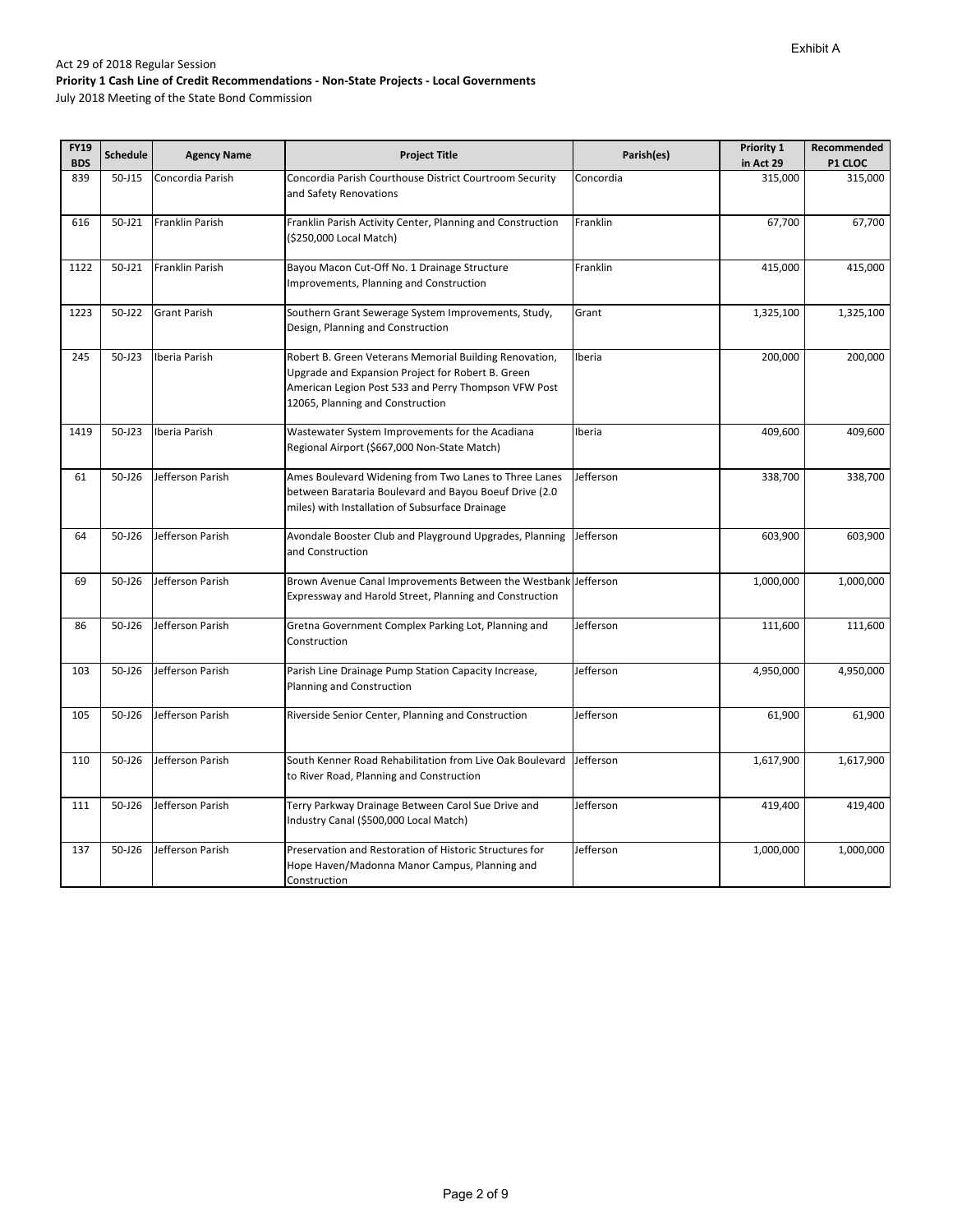| <b>FY19</b><br><b>BDS</b> | <b>Schedule</b> | <b>Agency Name</b>  | <b>Project Title</b>                                                                                                                                                                                    | Parish(es) | Priority 1<br>in Act 29 | Recommended<br>P1 CLOC |
|---------------------------|-----------------|---------------------|---------------------------------------------------------------------------------------------------------------------------------------------------------------------------------------------------------|------------|-------------------------|------------------------|
| 839                       | $50 - J15$      | Concordia Parish    | Concordia Parish Courthouse District Courtroom Security                                                                                                                                                 | Concordia  | 315,000                 | 315,000                |
|                           |                 |                     | and Safety Renovations                                                                                                                                                                                  |            |                         |                        |
| 616                       | 50-J21          | Franklin Parish     | Franklin Parish Activity Center, Planning and Construction                                                                                                                                              | Franklin   | 67,700                  | 67,700                 |
|                           |                 |                     | (\$250,000 Local Match)                                                                                                                                                                                 |            |                         |                        |
| 1122                      | 50-J21          | Franklin Parish     | Bayou Macon Cut-Off No. 1 Drainage Structure<br>Improvements, Planning and Construction                                                                                                                 | Franklin   | 415,000                 | 415,000                |
| 1223                      | 50-J22          | <b>Grant Parish</b> | Southern Grant Sewerage System Improvements, Study,<br>Design, Planning and Construction                                                                                                                | Grant      | 1,325,100               | 1,325,100              |
| 245                       | 50-J23          | Iberia Parish       | Robert B. Green Veterans Memorial Building Renovation,<br>Upgrade and Expansion Project for Robert B. Green<br>American Legion Post 533 and Perry Thompson VFW Post<br>12065, Planning and Construction | Iberia     | 200,000                 | 200,000                |
| 1419                      | 50-J23          | Iberia Parish       | Wastewater System Improvements for the Acadiana<br>Regional Airport (\$667,000 Non-State Match)                                                                                                         | Iberia     | 409,600                 | 409,600                |
| 61                        | 50-J26          | Jefferson Parish    | Ames Boulevard Widening from Two Lanes to Three Lanes<br>between Barataria Boulevard and Bayou Boeuf Drive (2.0<br>miles) with Installation of Subsurface Drainage                                      | Jefferson  | 338,700                 | 338,700                |
| 64                        | $50 - 126$      | Jefferson Parish    | Avondale Booster Club and Playground Upgrades, Planning<br>and Construction                                                                                                                             | Jefferson  | 603,900                 | 603,900                |
| 69                        | $50 - 126$      | Jefferson Parish    | Brown Avenue Canal Improvements Between the Westbank Jefferson<br>Expressway and Harold Street, Planning and Construction                                                                               |            | 1,000,000               | 1,000,000              |
| 86                        | $50 - 126$      | Jefferson Parish    | Gretna Government Complex Parking Lot, Planning and<br>Construction                                                                                                                                     | Jefferson  | 111,600                 | 111,600                |
| 103                       | $50 - 126$      | Jefferson Parish    | Parish Line Drainage Pump Station Capacity Increase,<br>Planning and Construction                                                                                                                       | Jefferson  | 4,950,000               | 4,950,000              |
| 105                       | 50-J26          | Jefferson Parish    | Riverside Senior Center, Planning and Construction                                                                                                                                                      | Jefferson  | 61,900                  | 61,900                 |
| 110                       | 50-J26          | Jefferson Parish    | South Kenner Road Rehabilitation from Live Oak Boulevard<br>to River Road, Planning and Construction                                                                                                    | Jefferson  | 1,617,900               | 1,617,900              |
| 111                       | 50-J26          | Jefferson Parish    | Terry Parkway Drainage Between Carol Sue Drive and<br>Industry Canal (\$500,000 Local Match)                                                                                                            | Jefferson  | 419,400                 | 419,400                |
| 137                       | 50-J26          | Jefferson Parish    | Preservation and Restoration of Historic Structures for<br>Hope Haven/Madonna Manor Campus, Planning and<br>Construction                                                                                | Jefferson  | 1,000,000               | 1,000,000              |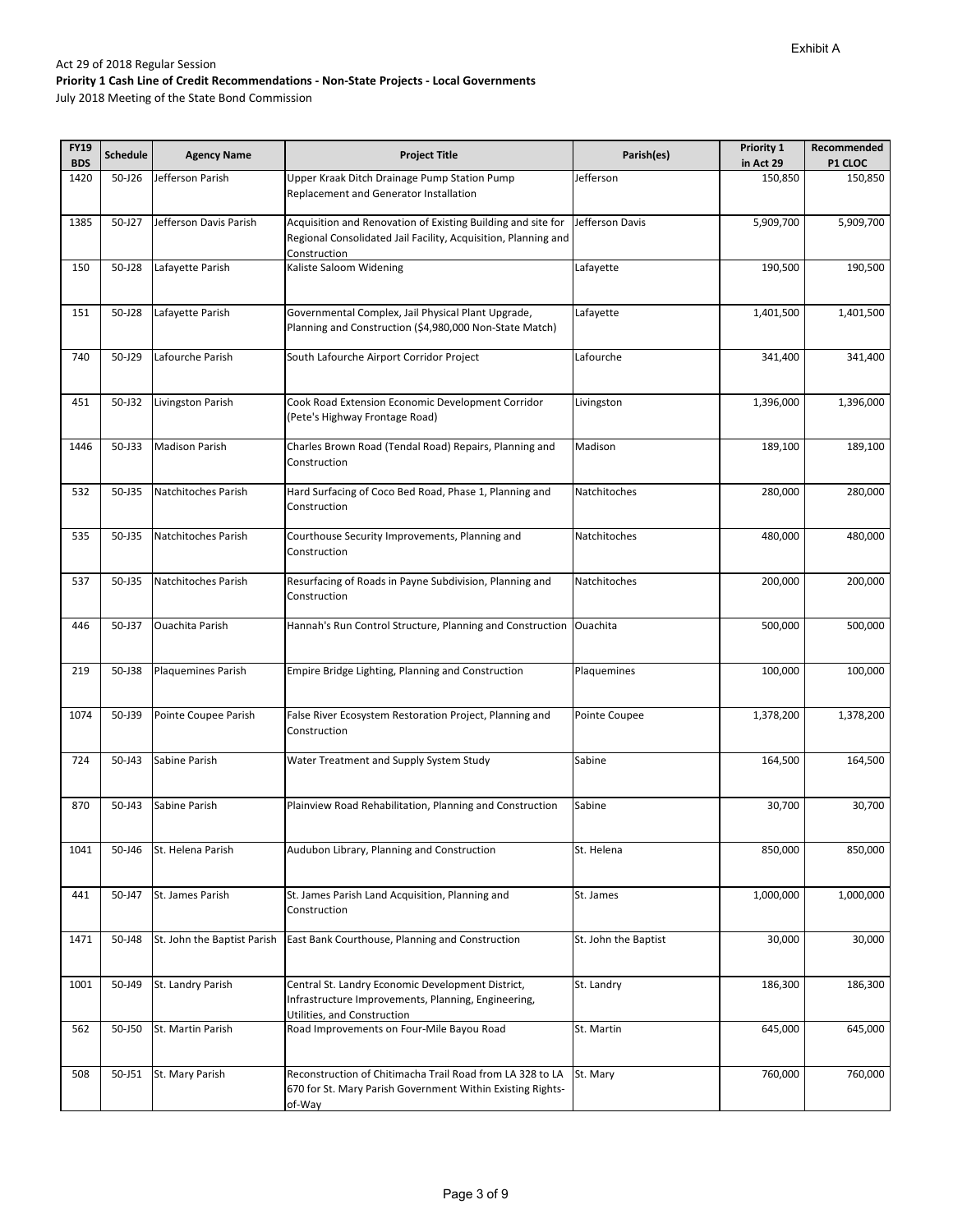| <b>FY19</b> | <b>Schedule</b> | <b>Agency Name</b>          | <b>Project Title</b>                                                                                                                           | Parish(es)           | Priority 1 | Recommended |
|-------------|-----------------|-----------------------------|------------------------------------------------------------------------------------------------------------------------------------------------|----------------------|------------|-------------|
| <b>BDS</b>  |                 |                             |                                                                                                                                                |                      | in Act 29  | P1 CLOC     |
| 1420        | 50-J26          | Jefferson Parish            | Upper Kraak Ditch Drainage Pump Station Pump<br>Replacement and Generator Installation                                                         | Jefferson            | 150,850    | 150,850     |
| 1385        | 50-J27          | Jefferson Davis Parish      | Acquisition and Renovation of Existing Building and site for<br>Regional Consolidated Jail Facility, Acquisition, Planning and<br>Construction | Jefferson Davis      | 5,909,700  | 5,909,700   |
| 150         | 50-J28          | Lafayette Parish            | Kaliste Saloom Widening                                                                                                                        | Lafayette            | 190,500    | 190,500     |
| 151         | 50-J28          | Lafayette Parish            | Governmental Complex, Jail Physical Plant Upgrade,<br>Planning and Construction (\$4,980,000 Non-State Match)                                  | Lafayette            | 1,401,500  | 1,401,500   |
| 740         | 50-J29          | Lafourche Parish            | South Lafourche Airport Corridor Project                                                                                                       | Lafourche            | 341,400    | 341,400     |
| 451         | 50-J32          | Livingston Parish           | Cook Road Extension Economic Development Corridor<br>(Pete's Highway Frontage Road)                                                            | Livingston           | 1,396,000  | 1,396,000   |
| 1446        | 50-J33          | <b>Madison Parish</b>       | Charles Brown Road (Tendal Road) Repairs, Planning and<br>Construction                                                                         | Madison              | 189,100    | 189,100     |
| 532         | 50-J35          | Natchitoches Parish         | Hard Surfacing of Coco Bed Road, Phase 1, Planning and<br>Construction                                                                         | Natchitoches         | 280,000    | 280,000     |
| 535         | 50-J35          | Natchitoches Parish         | Courthouse Security Improvements, Planning and<br>Construction                                                                                 | Natchitoches         | 480,000    | 480,000     |
| 537         | $50 - 135$      | Natchitoches Parish         | Resurfacing of Roads in Payne Subdivision, Planning and<br>Construction                                                                        | Natchitoches         | 200,000    | 200,000     |
| 446         | 50-J37          | <b>Ouachita Parish</b>      | Hannah's Run Control Structure, Planning and Construction                                                                                      | Ouachita             | 500,000    | 500,000     |
| 219         | 50-J38          | Plaquemines Parish          | Empire Bridge Lighting, Planning and Construction                                                                                              | Plaquemines          | 100,000    | 100,000     |
| 1074        | 50-J39          | Pointe Coupee Parish        | False River Ecosystem Restoration Project, Planning and<br>Construction                                                                        | Pointe Coupee        | 1,378,200  | 1,378,200   |
| 724         | 50-J43          | Sabine Parish               | Water Treatment and Supply System Study                                                                                                        | Sabine               | 164,500    | 164,500     |
| 870         | 50-J43          | Sabine Parish               | Plainview Road Rehabilitation, Planning and Construction                                                                                       | Sabine               | 30,700     | 30,700      |
| 1041        | 50-J46          | St. Helena Parish           | Audubon Library, Planning and Construction                                                                                                     | St. Helena           | 850,000    | 850,000     |
| 441         | 50-J47          | St. James Parish            | St. James Parish Land Acquisition, Planning and<br>Construction                                                                                | St. James            | 1,000,000  | 1,000,000   |
| 1471        | 50-J48          | St. John the Baptist Parish | East Bank Courthouse, Planning and Construction                                                                                                | St. John the Baptist | 30,000     | 30,000      |
| 1001        | 50-J49          | St. Landry Parish           | Central St. Landry Economic Development District,<br>Infrastructure Improvements, Planning, Engineering,<br>Utilities, and Construction        | St. Landry           | 186,300    | 186,300     |
| 562         | 50-J50          | St. Martin Parish           | Road Improvements on Four-Mile Bayou Road                                                                                                      | St. Martin           | 645,000    | 645,000     |
| 508         | 50-J51          | St. Mary Parish             | Reconstruction of Chitimacha Trail Road from LA 328 to LA<br>670 for St. Mary Parish Government Within Existing Rights-<br>of-Way              | St. Mary             | 760,000    | 760,000     |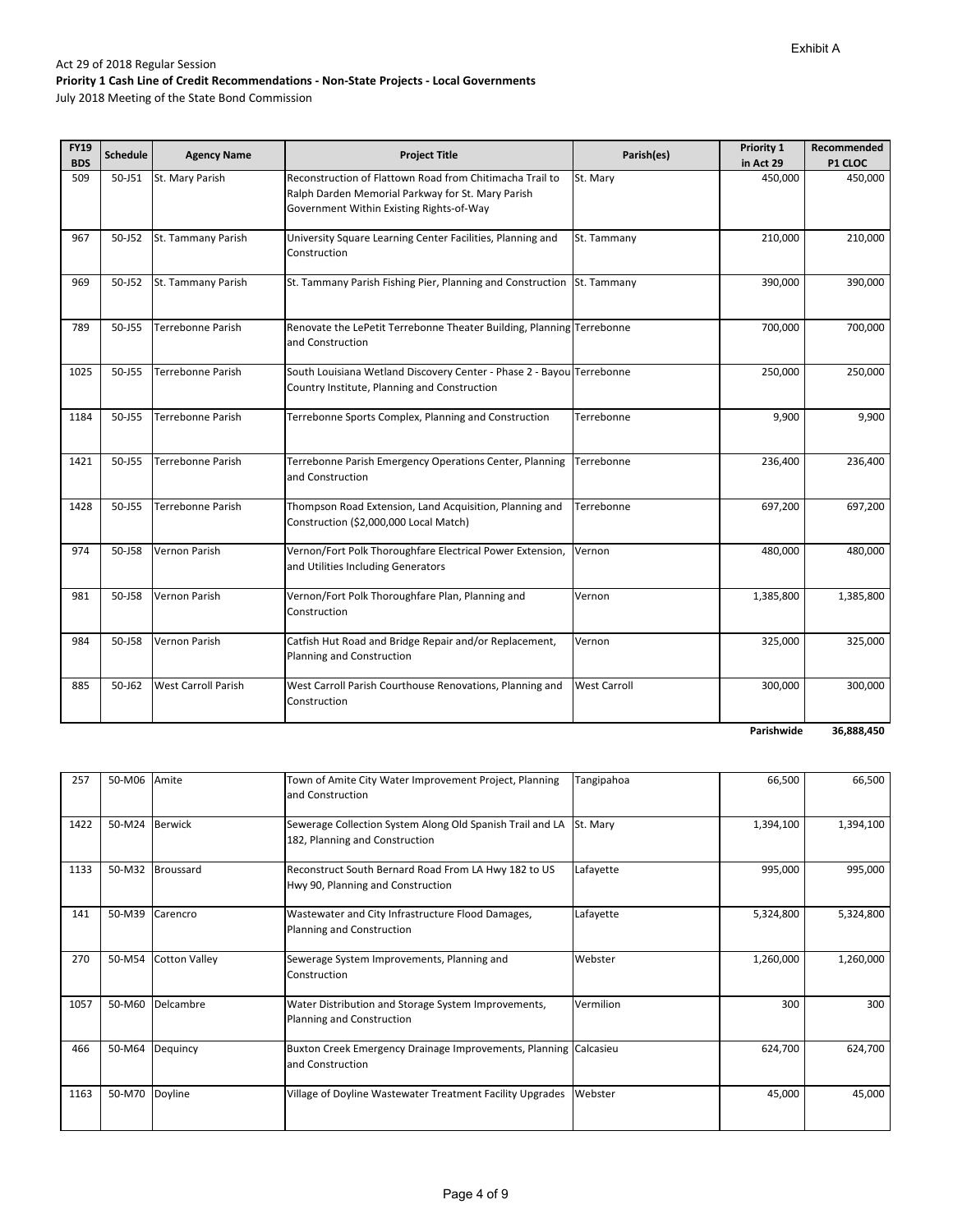July 2018 Meeting of the State Bond Commission

| <b>FY19</b>       | <b>Schedule</b> | <b>Agency Name</b>         | <b>Project Title</b>                                                                                                  | Parish(es)          | Priority 1           | Recommended        |
|-------------------|-----------------|----------------------------|-----------------------------------------------------------------------------------------------------------------------|---------------------|----------------------|--------------------|
| <b>BDS</b><br>509 | 50-J51          | St. Mary Parish            | Reconstruction of Flattown Road from Chitimacha Trail to                                                              | St. Mary            | in Act 29<br>450,000 | P1 CLOC<br>450,000 |
|                   |                 |                            | Ralph Darden Memorial Parkway for St. Mary Parish                                                                     |                     |                      |                    |
|                   |                 |                            | Government Within Existing Rights-of-Way                                                                              |                     |                      |                    |
|                   |                 |                            |                                                                                                                       |                     |                      |                    |
| 967               | 50-J52          | St. Tammany Parish         | University Square Learning Center Facilities, Planning and<br>Construction                                            | St. Tammany         | 210,000              | 210,000            |
|                   |                 |                            |                                                                                                                       |                     |                      |                    |
| 969               | 50-J52          | St. Tammany Parish         | St. Tammany Parish Fishing Pier, Planning and Construction St. Tammany                                                |                     | 390,000              | 390,000            |
|                   |                 |                            |                                                                                                                       |                     |                      |                    |
| 789               | 50-J55          | Terrebonne Parish          | Renovate the LePetit Terrebonne Theater Building, Planning Terrebonne                                                 |                     | 700,000              | 700,000            |
|                   |                 |                            | and Construction                                                                                                      |                     |                      |                    |
|                   |                 |                            |                                                                                                                       |                     |                      |                    |
| 1025              | 50-J55          | <b>Terrebonne Parish</b>   | South Louisiana Wetland Discovery Center - Phase 2 - Bayou Terrebonne<br>Country Institute, Planning and Construction |                     | 250,000              | 250,000            |
|                   |                 |                            |                                                                                                                       |                     |                      |                    |
| 1184              | 50-J55          | <b>Terrebonne Parish</b>   | Terrebonne Sports Complex, Planning and Construction                                                                  | Terrebonne          | 9,900                | 9,900              |
|                   |                 |                            |                                                                                                                       |                     |                      |                    |
| 1421              | 50-J55          | <b>Terrebonne Parish</b>   | Terrebonne Parish Emergency Operations Center, Planning                                                               | Terrebonne          | 236,400              | 236,400            |
|                   |                 |                            | and Construction                                                                                                      |                     |                      |                    |
|                   |                 |                            |                                                                                                                       |                     |                      |                    |
| 1428              | 50-J55          | <b>Terrebonne Parish</b>   | Thompson Road Extension, Land Acquisition, Planning and<br>Construction (\$2,000,000 Local Match)                     | Terrebonne          | 697,200              | 697,200            |
|                   |                 |                            |                                                                                                                       |                     |                      |                    |
| 974               | 50-J58          | <b>Vernon Parish</b>       | Vernon/Fort Polk Thoroughfare Electrical Power Extension,                                                             | Vernon              | 480,000              | 480,000            |
|                   |                 |                            | and Utilities Including Generators                                                                                    |                     |                      |                    |
| 981               | 50-J58          | <b>Vernon Parish</b>       | Vernon/Fort Polk Thoroughfare Plan, Planning and                                                                      | Vernon              | 1,385,800            | 1,385,800          |
|                   |                 |                            | Construction                                                                                                          |                     |                      |                    |
|                   |                 |                            |                                                                                                                       |                     |                      |                    |
| 984               | 50-J58          | Vernon Parish              | Catfish Hut Road and Bridge Repair and/or Replacement,                                                                | Vernon              | 325,000              | 325,000            |
|                   |                 |                            | Planning and Construction                                                                                             |                     |                      |                    |
| 885               | 50-J62          | <b>West Carroll Parish</b> | West Carroll Parish Courthouse Renovations, Planning and                                                              | <b>West Carroll</b> | 300,000              | 300,000            |
|                   |                 |                            | Construction                                                                                                          |                     |                      |                    |
|                   |                 |                            |                                                                                                                       |                     |                      |                    |

**36,888,450 Parishwide**

| 257  | 50-M06 | Amite                | Town of Amite City Water Improvement Project, Planning<br>and Construction                  | Tangipahoa | 66,500    | 66,500    |
|------|--------|----------------------|---------------------------------------------------------------------------------------------|------------|-----------|-----------|
| 1422 | 50-M24 | <b>Berwick</b>       | Sewerage Collection System Along Old Spanish Trail and LA<br>182, Planning and Construction | St. Mary   | 1,394,100 | 1,394,100 |
| 1133 | 50-M32 | Broussard            | Reconstruct South Bernard Road From LA Hwy 182 to US<br>Hwy 90, Planning and Construction   | Lafayette  | 995,000   | 995,000   |
| 141  | 50-M39 | Carencro             | Wastewater and City Infrastructure Flood Damages,<br>Planning and Construction              | Lafayette  | 5,324,800 | 5,324,800 |
| 270  | 50-M54 | <b>Cotton Valley</b> | Sewerage System Improvements, Planning and<br>Construction                                  | Webster    | 1,260,000 | 1,260,000 |
| 1057 | 50-M60 | Delcambre            | Water Distribution and Storage System Improvements,<br>Planning and Construction            | Vermilion  | 300       | 300       |
| 466  | 50-M64 | Dequincy             | Buxton Creek Emergency Drainage Improvements, Planning Calcasieu<br>and Construction        |            | 624,700   | 624,700   |
| 1163 | 50-M70 | Doyline              | Village of Doyline Wastewater Treatment Facility Upgrades                                   | Webster    | 45,000    | 45,000    |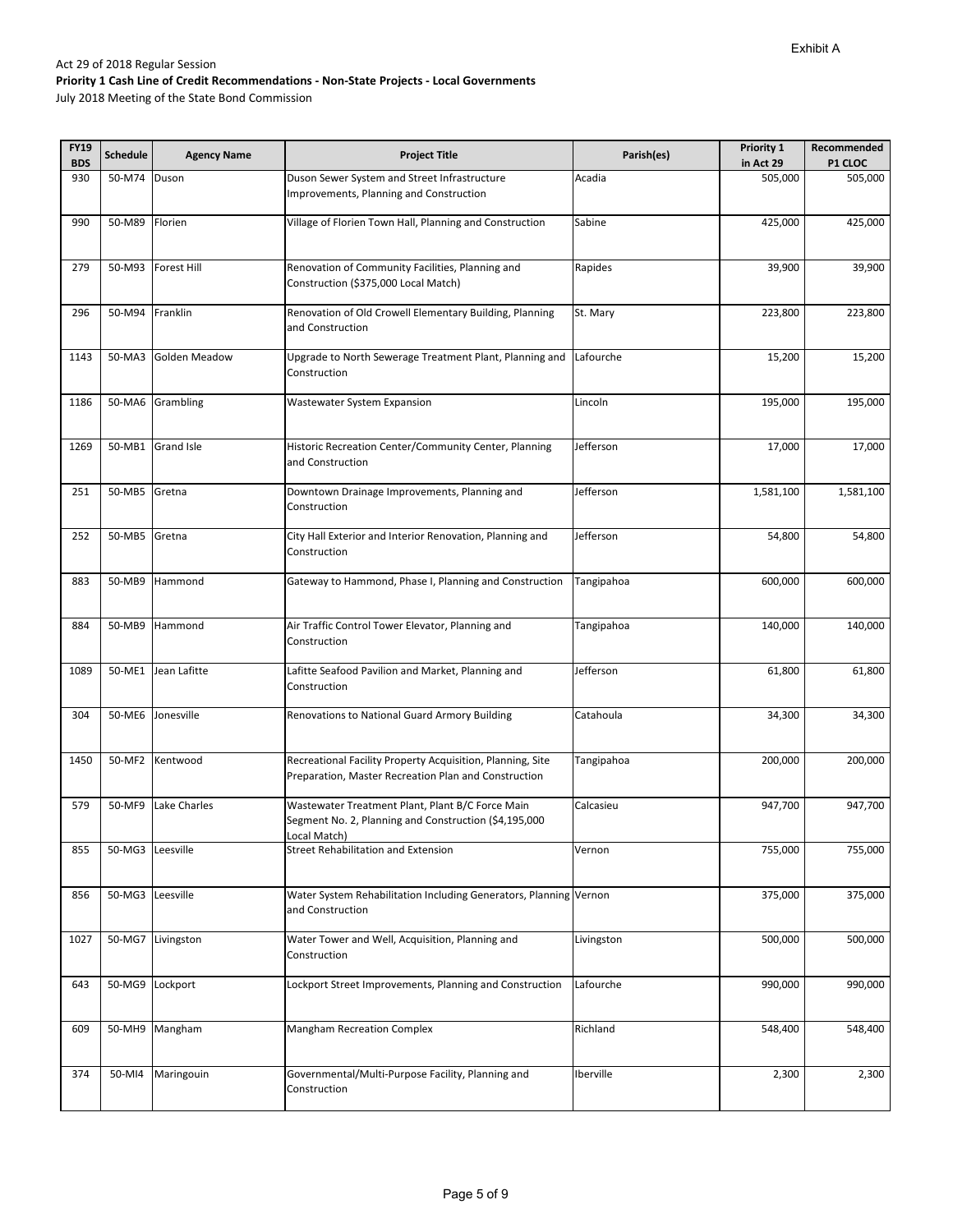| <b>FY19</b> | <b>Schedule</b>  | <b>Agency Name</b>   | <b>Project Title</b>                                                                                                      | Parish(es) | Priority 1 | Recommended |
|-------------|------------------|----------------------|---------------------------------------------------------------------------------------------------------------------------|------------|------------|-------------|
| <b>BDS</b>  |                  |                      |                                                                                                                           |            | in Act 29  | P1 CLOC     |
| 930         | 50-M74           | Duson                | Duson Sewer System and Street Infrastructure<br>Improvements, Planning and Construction                                   | Acadia     | 505,000    | 505,000     |
| 990         | 50-M89           | Florien              | Village of Florien Town Hall, Planning and Construction                                                                   | Sabine     | 425,000    | 425,000     |
| 279         | 50-M93           | <b>Forest Hill</b>   | Renovation of Community Facilities, Planning and<br>Construction (\$375,000 Local Match)                                  | Rapides    | 39,900     | 39,900      |
| 296         | 50-M94           | Franklin             | Renovation of Old Crowell Elementary Building, Planning<br>and Construction                                               | St. Mary   | 223,800    | 223,800     |
| 1143        | 50-MA3           | <b>Golden Meadow</b> | Upgrade to North Sewerage Treatment Plant, Planning and<br>Construction                                                   | Lafourche  | 15,200     | 15,200      |
| 1186        |                  | 50-MA6 Grambling     | Wastewater System Expansion                                                                                               | Lincoln    | 195,000    | 195,000     |
| 1269        |                  | 50-MB1 Grand Isle    | Historic Recreation Center/Community Center, Planning<br>and Construction                                                 | Jefferson  | 17,000     | 17,000      |
| 251         | 50-MB5           | Gretna               | Downtown Drainage Improvements, Planning and<br>Construction                                                              | Jefferson  | 1,581,100  | 1,581,100   |
| 252         | 50-MB5           | Gretna               | City Hall Exterior and Interior Renovation, Planning and<br>Construction                                                  | Jefferson  | 54,800     | 54,800      |
| 883         | 50-MB9           | Hammond              | Gateway to Hammond, Phase I, Planning and Construction                                                                    | Tangipahoa | 600,000    | 600,000     |
| 884         | 50-MB9           | Hammond              | Air Traffic Control Tower Elevator, Planning and<br>Construction                                                          | Tangipahoa | 140,000    | 140,000     |
| 1089        | 50-ME1           | Jean Lafitte         | Lafitte Seafood Pavilion and Market, Planning and<br>Construction                                                         | Jefferson  | 61,800     | 61,800      |
| 304         | 50-ME6           | Jonesville           | Renovations to National Guard Armory Building                                                                             | Catahoula  | 34,300     | 34,300      |
| 1450        | 50-MF2           | Kentwood             | Recreational Facility Property Acquisition, Planning, Site<br>Preparation, Master Recreation Plan and Construction        | Tangipahoa | 200,000    | 200,000     |
| 579         | 50-MF9           | Lake Charles         | Wastewater Treatment Plant, Plant B/C Force Main<br>Segment No. 2, Planning and Construction (\$4,195,000<br>ocal Match). | Calcasieu  | 947,700    | 947,700     |
| 855         | 50-MG3 Leesville |                      | <b>Street Rehabilitation and Extension</b>                                                                                | Vernon     | 755,000    | 755,000     |
| 856         | 50-MG3 Leesville |                      | Water System Rehabilitation Including Generators, Planning Vernon<br>and Construction                                     |            | 375,000    | 375,000     |
| 1027        | 50-MG7           | Livingston           | Water Tower and Well, Acquisition, Planning and<br>Construction                                                           | Livingston | 500,000    | 500,000     |
| 643         | 50-MG9           | Lockport             | Lockport Street Improvements, Planning and Construction                                                                   | Lafourche  | 990,000    | 990,000     |
| 609         | 50-MH9           | Mangham              | <b>Mangham Recreation Complex</b>                                                                                         | Richland   | 548,400    | 548,400     |
| 374         | 50-MI4           | Maringouin           | Governmental/Multi-Purpose Facility, Planning and<br>Construction                                                         | Iberville  | 2,300      | 2,300       |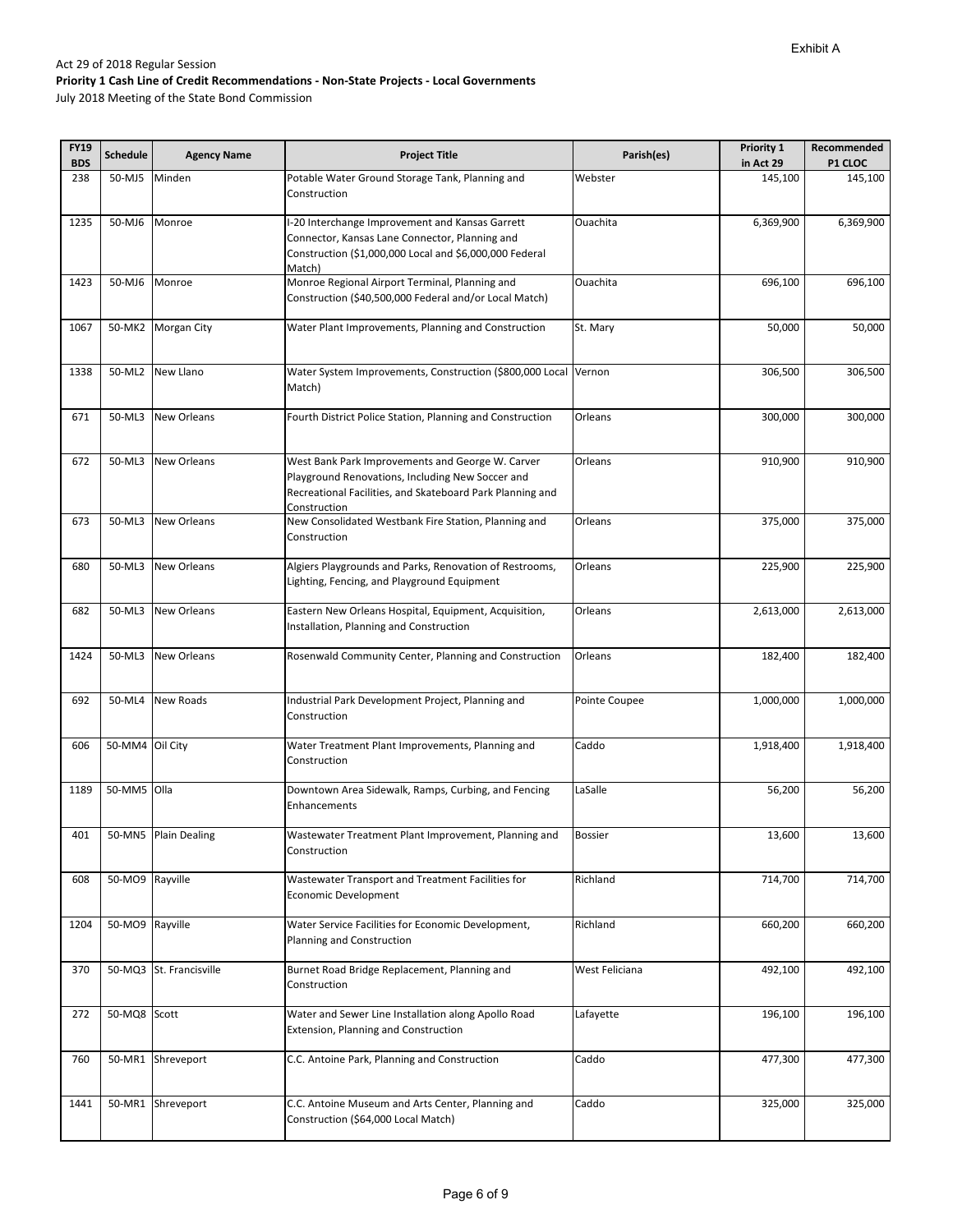| <b>FY19</b><br><b>BDS</b> | <b>Schedule</b> | <b>Agency Name</b>      | <b>Project Title</b>                                                                                                                                                              | Parish(es)     | Priority 1<br>in Act 29 | Recommended<br>P1 CLOC |
|---------------------------|-----------------|-------------------------|-----------------------------------------------------------------------------------------------------------------------------------------------------------------------------------|----------------|-------------------------|------------------------|
| 238                       | 50-MJ5          | Minden                  | Potable Water Ground Storage Tank, Planning and<br>Construction                                                                                                                   | Webster        | 145,100                 | 145,100                |
| 1235                      | 50-MJ6          | Monroe                  | -20 Interchange Improvement and Kansas Garrett<br>Connector, Kansas Lane Connector, Planning and<br>Construction (\$1,000,000 Local and \$6,000,000 Federal<br>Match)             | Ouachita       | 6,369,900               | 6,369,900              |
| 1423                      | 50-MJ6          | Monroe                  | Monroe Regional Airport Terminal, Planning and<br>Construction (\$40,500,000 Federal and/or Local Match)                                                                          | Ouachita       | 696,100                 | 696,100                |
| 1067                      | 50-MK2          | <b>Morgan City</b>      | Water Plant Improvements, Planning and Construction                                                                                                                               | St. Mary       | 50,000                  | 50,000                 |
| 1338                      | 50-ML2          | New Llano               | Water System Improvements, Construction (\$800,000 Local Vernon<br>Match)                                                                                                         |                | 306,500                 | 306,500                |
| 671                       | 50-ML3          | New Orleans             | Fourth District Police Station, Planning and Construction                                                                                                                         | Orleans        | 300,000                 | 300,000                |
| 672                       | 50-ML3          | <b>New Orleans</b>      | West Bank Park Improvements and George W. Carver<br>Playground Renovations, Including New Soccer and<br>Recreational Facilities, and Skateboard Park Planning and<br>Construction | Orleans        | 910,900                 | 910,900                |
| 673                       | 50-ML3          | <b>New Orleans</b>      | New Consolidated Westbank Fire Station, Planning and<br>Construction                                                                                                              | Orleans        | 375,000                 | 375,000                |
| 680                       | 50-ML3          | New Orleans             | Algiers Playgrounds and Parks, Renovation of Restrooms,<br>Lighting, Fencing, and Playground Equipment                                                                            | Orleans        | 225,900                 | 225,900                |
| 682                       | 50-ML3          | New Orleans             | Eastern New Orleans Hospital, Equipment, Acquisition,<br>Installation, Planning and Construction                                                                                  | Orleans        | 2,613,000               | 2,613,000              |
| 1424                      | 50-ML3          | <b>New Orleans</b>      | Rosenwald Community Center, Planning and Construction                                                                                                                             | Orleans        | 182,400                 | 182,400                |
| 692                       | 50-ML4          | <b>New Roads</b>        | Industrial Park Development Project, Planning and<br>Construction                                                                                                                 | Pointe Coupee  | 1,000,000               | 1,000,000              |
| 606                       | 50-MM4 Oil City |                         | Water Treatment Plant Improvements, Planning and<br>Construction                                                                                                                  | Caddo          | 1,918,400               | 1,918,400              |
| 1189                      | 50-MM5 Olla     |                         | Downtown Area Sidewalk, Ramps, Curbing, and Fencing<br>Enhancements                                                                                                               | LaSalle        | 56,200                  | 56,200                 |
| 401                       |                 | 50-MN5 Plain Dealing    | Wastewater Treatment Plant Improvement, Planning and<br>Construction                                                                                                              | <b>Bossier</b> | 13,600                  | 13,600                 |
| 608                       | 50-MO9 Rayville |                         | Wastewater Transport and Treatment Facilities for<br>Economic Development                                                                                                         | Richland       | 714,700                 | 714,700                |
| 1204                      | 50-MO9 Rayville |                         | Water Service Facilities for Economic Development,<br>Planning and Construction                                                                                                   | Richland       | 660,200                 | 660,200                |
| 370                       |                 | 50-MQ3 St. Francisville | Burnet Road Bridge Replacement, Planning and<br>Construction                                                                                                                      | West Feliciana | 492,100                 | 492,100                |
| 272                       | 50-MQ8 Scott    |                         | Water and Sewer Line Installation along Apollo Road<br>Extension, Planning and Construction                                                                                       | Lafayette      | 196,100                 | 196,100                |
| 760                       | 50-MR1          | Shreveport              | C.C. Antoine Park, Planning and Construction                                                                                                                                      | Caddo          | 477,300                 | 477,300                |
| 1441                      |                 | 50-MR1 Shreveport       | C.C. Antoine Museum and Arts Center, Planning and<br>Construction (\$64,000 Local Match)                                                                                          | Caddo          | 325,000                 | 325,000                |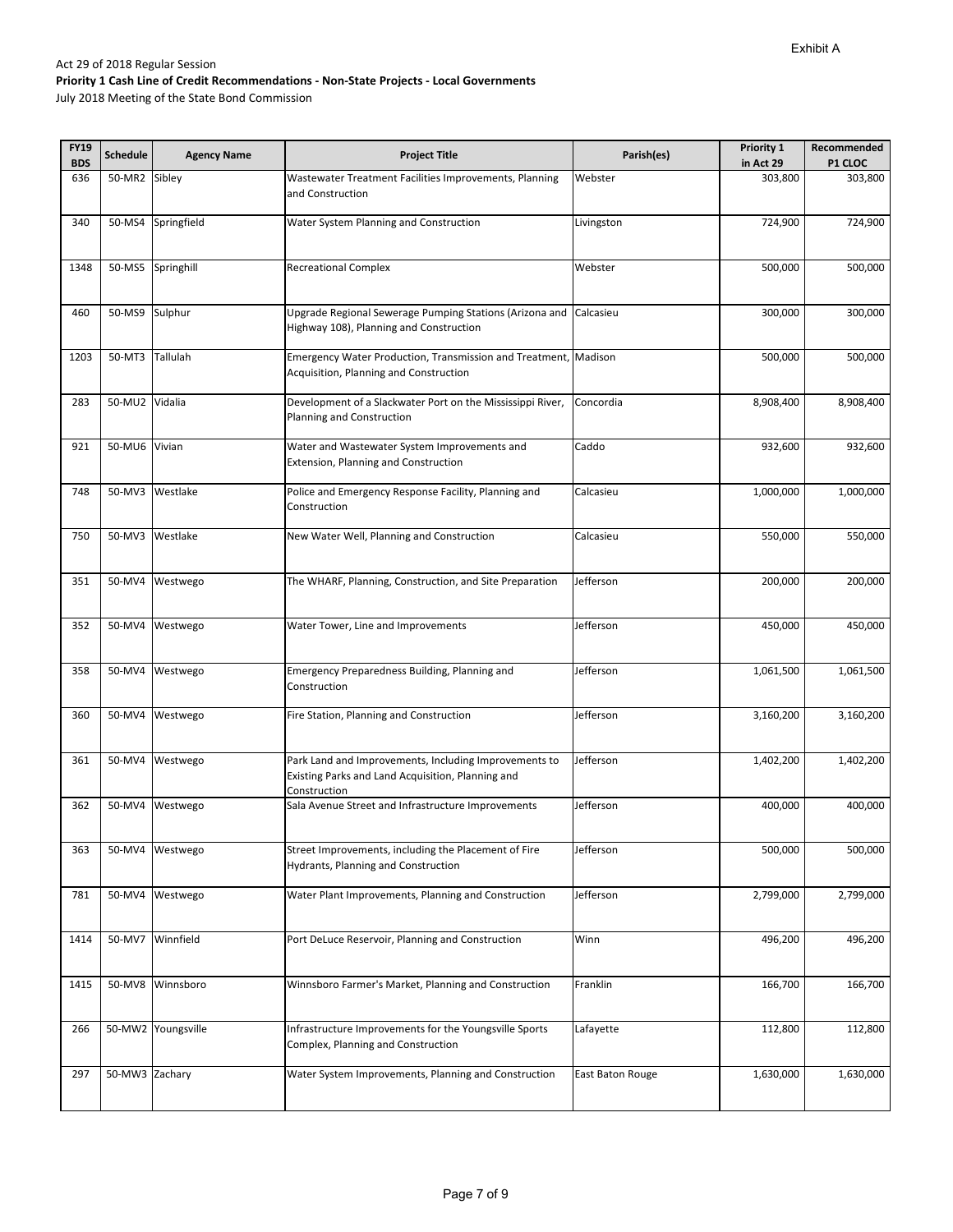| <b>FY19</b> | <b>Schedule</b> | <b>Agency Name</b> | <b>Project Title</b>                                                                                                       | Parish(es)       | Priority 1 | Recommended |
|-------------|-----------------|--------------------|----------------------------------------------------------------------------------------------------------------------------|------------------|------------|-------------|
| <b>BDS</b>  |                 |                    |                                                                                                                            |                  | in Act 29  | P1 CLOC     |
| 636         | 50-MR2          | Sibley             | Wastewater Treatment Facilities Improvements, Planning<br>and Construction                                                 | Webster          | 303,800    | 303,800     |
| 340         | 50-MS4          | Springfield        | Water System Planning and Construction                                                                                     | Livingston       | 724,900    | 724,900     |
| 1348        | 50-MS5          | Springhill         | <b>Recreational Complex</b>                                                                                                | Webster          | 500,000    | 500,000     |
| 460         | 50-MS9          | Sulphur            | Upgrade Regional Sewerage Pumping Stations (Arizona and<br>Highway 108), Planning and Construction                         | Calcasieu        | 300,000    | 300,000     |
| 1203        | 50-MT3          | Tallulah           | Emergency Water Production, Transmission and Treatment, Madison<br>Acquisition, Planning and Construction                  |                  | 500,000    | 500,000     |
| 283         | 50-MU2 Vidalia  |                    | Development of a Slackwater Port on the Mississippi River,<br>Planning and Construction                                    | Concordia        | 8,908,400  | 8,908,400   |
| 921         | 50-MU6 Vivian   |                    | Water and Wastewater System Improvements and<br>Extension, Planning and Construction                                       | Caddo            | 932,600    | 932,600     |
| 748         | 50-MV3          | Westlake           | Police and Emergency Response Facility, Planning and<br>Construction                                                       | Calcasieu        | 1,000,000  | 1,000,000   |
| 750         | 50-MV3          | Westlake           | New Water Well, Planning and Construction                                                                                  | Calcasieu        | 550,000    | 550,000     |
| 351         | 50-MV4          | Westwego           | The WHARF, Planning, Construction, and Site Preparation                                                                    | Jefferson        | 200,000    | 200,000     |
| 352         | 50-MV4          | Westwego           | Water Tower, Line and Improvements                                                                                         | Jefferson        | 450,000    | 450,000     |
| 358         | 50-MV4          | Westwego           | Emergency Preparedness Building, Planning and<br>Construction                                                              | Jefferson        | 1,061,500  | 1,061,500   |
| 360         | 50-MV4          | Westwego           | Fire Station, Planning and Construction                                                                                    | Jefferson        | 3,160,200  | 3,160,200   |
| 361         | 50-MV4          | Westwego           | Park Land and Improvements, Including Improvements to<br>Existing Parks and Land Acquisition, Planning and<br>Construction | Jefferson        | 1,402,200  | 1,402,200   |
| 362         | 50-MV4          | Westwego           | Sala Avenue Street and Infrastructure Improvements                                                                         | Jefferson        | 400,000    | 400,000     |
| 363         | 50-MV4          | Westwego           | Street Improvements, including the Placement of Fire<br><b>Hydrants, Planning and Construction</b>                         | Jefferson        | 500,000    | 500,000     |
| 781         | 50-MV4          | Westwego           | Water Plant Improvements, Planning and Construction                                                                        | Jefferson        | 2,799,000  | 2,799,000   |
| 1414        | 50-MV7          | Winnfield          | Port DeLuce Reservoir, Planning and Construction                                                                           | Winn             | 496,200    | 496,200     |
| 1415        | 50-MV8          | Winnsboro          | Winnsboro Farmer's Market, Planning and Construction                                                                       | Franklin         | 166,700    | 166,700     |
| 266         | 50-MW2          | Youngsville        | Infrastructure Improvements for the Youngsville Sports<br>Complex, Planning and Construction                               | Lafayette        | 112,800    | 112,800     |
| 297         | 50-MW3 Zachary  |                    | Water System Improvements, Planning and Construction                                                                       | East Baton Rouge | 1,630,000  | 1,630,000   |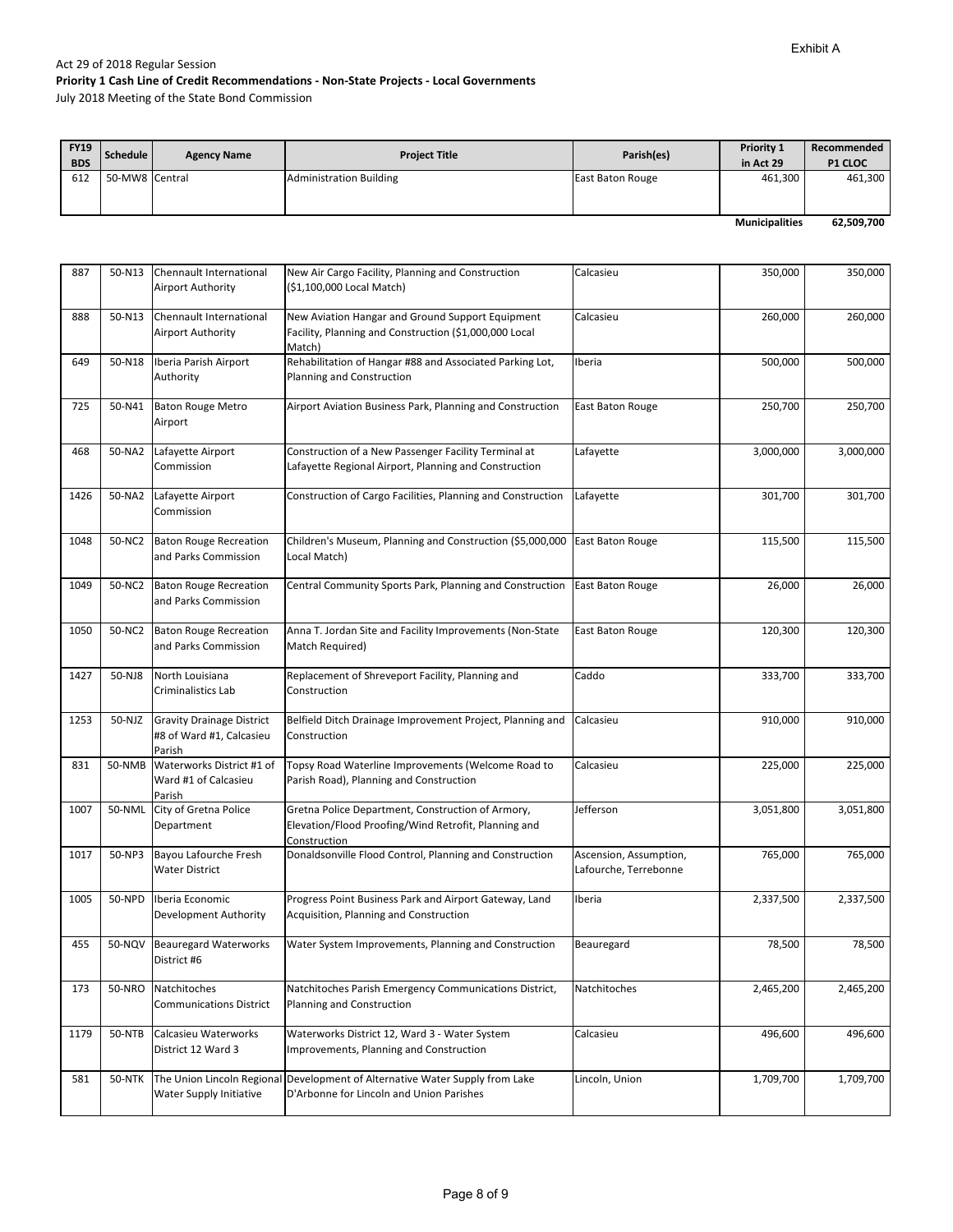| <b>FY19</b><br><b>BDS</b> | Schedule       | <b>Agency Name</b> | <b>Project Title</b>           | Parish(es)       | <b>Priority 1</b><br>in Act 29 | Recommended<br><b>P1 CLOC</b> |
|---------------------------|----------------|--------------------|--------------------------------|------------------|--------------------------------|-------------------------------|
| 612                       | 50-MW8 Central |                    | <b>Administration Building</b> | East Baton Rouge | 461,300                        | 461,300                       |
|                           |                |                    |                                |                  |                                |                               |
|                           |                |                    |                                |                  | <b>Municipalities</b>          | 62,509,700                    |

| 887  | 50-N13                                                                 | Chennault International<br>Airport Authority                           | New Air Cargo Facility, Planning and Construction<br>(\$1,100,000 Local Match)                                            | Calcasieu                                       | 350,000   | 350,000   |
|------|------------------------------------------------------------------------|------------------------------------------------------------------------|---------------------------------------------------------------------------------------------------------------------------|-------------------------------------------------|-----------|-----------|
| 888  | 50-N13                                                                 | Chennault International<br><b>Airport Authority</b>                    | New Aviation Hangar and Ground Support Equipment<br>Facility, Planning and Construction (\$1,000,000 Local<br>Match)      | Calcasieu                                       | 260,000   | 260,000   |
| 649  | 50-N18                                                                 | Iberia Parish Airport<br>Authority                                     | Rehabilitation of Hangar #88 and Associated Parking Lot,<br>Planning and Construction                                     | Iberia                                          | 500,000   | 500,000   |
| 725  | 50-N41                                                                 | <b>Baton Rouge Metro</b><br>Airport                                    | Airport Aviation Business Park, Planning and Construction                                                                 | East Baton Rouge                                | 250,700   | 250,700   |
| 468  | 50-NA2                                                                 | Lafayette Airport<br>Commission                                        | Construction of a New Passenger Facility Terminal at<br>Lafayette Regional Airport, Planning and Construction             | Lafayette                                       | 3,000,000 | 3,000,000 |
| 1426 | 50-NA2                                                                 | Lafayette Airport<br>Commission                                        | Construction of Cargo Facilities, Planning and Construction                                                               | Lafayette                                       | 301,700   | 301,700   |
| 1048 | 50-NC2                                                                 | <b>Baton Rouge Recreation</b><br>and Parks Commission                  | Children's Museum, Planning and Construction (\$5,000,000<br>Local Match)                                                 | East Baton Rouge                                | 115,500   | 115,500   |
| 1049 | 50-NC2                                                                 | <b>Baton Rouge Recreation</b><br>and Parks Commission                  | Central Community Sports Park, Planning and Construction                                                                  | East Baton Rouge                                | 26,000    | 26,000    |
| 1050 | 50-NC2                                                                 | <b>Baton Rouge Recreation</b><br>and Parks Commission                  | Anna T. Jordan Site and Facility Improvements (Non-State<br>Match Required)                                               | East Baton Rouge                                | 120,300   | 120,300   |
| 1427 | 50-NJ8                                                                 | North Louisiana<br>Criminalistics Lab                                  | Replacement of Shreveport Facility, Planning and<br>Construction                                                          | Caddo                                           | 333,700   | 333,700   |
| 1253 | 50-NJZ                                                                 | <b>Gravity Drainage District</b><br>#8 of Ward #1, Calcasieu<br>Parish | Belfield Ditch Drainage Improvement Project, Planning and<br>Construction                                                 | Calcasieu                                       | 910,000   | 910,000   |
| 831  | 50-NMB                                                                 | Waterworks District #1 of<br>Ward #1 of Calcasieu<br>Parish            | Topsy Road Waterline Improvements (Welcome Road to<br>Parish Road), Planning and Construction                             | Calcasieu                                       | 225,000   | 225,000   |
| 1007 | 50-NML                                                                 | City of Gretna Police<br>Department                                    | Gretna Police Department, Construction of Armory,<br>Elevation/Flood Proofing/Wind Retrofit, Planning and<br>Construction | Jefferson                                       | 3,051,800 | 3,051,800 |
| 1017 | 50-NP3                                                                 | Bayou Lafourche Fresh<br><b>Water District</b>                         | Donaldsonville Flood Control, Planning and Construction                                                                   | Ascension, Assumption,<br>Lafourche, Terrebonne | 765,000   | 765,000   |
| 1005 | 50-NPD                                                                 | Iberia Economic<br>Development Authority                               | Progress Point Business Park and Airport Gateway, Land<br>Acquisition, Planning and Construction                          | Iberia                                          | 2,337,500 | 2,337,500 |
| 455  | 50-NQV                                                                 | <b>Beauregard Waterworks</b><br>District #6                            | Water System Improvements, Planning and Construction                                                                      | Beauregard                                      | 78,500    | 78,500    |
| 173  | 50-NRO                                                                 | Natchitoches<br><b>Communications District</b>                         | Natchitoches Parish Emergency Communications District,<br>Planning and Construction                                       | Natchitoches                                    | 2,465,200 | 2,465,200 |
| 1179 | <b>50-NTB</b>                                                          | Calcasieu Waterworks<br>District 12 Ward 3                             | Waterworks District 12, Ward 3 - Water System<br>Improvements, Planning and Construction                                  | Calcasieu                                       | 496,600   | 496,600   |
| 581  | <b>50-NTK</b><br>The Union Lincoln Regional<br>Water Supply Initiative |                                                                        | Development of Alternative Water Supply from Lake<br>D'Arbonne for Lincoln and Union Parishes                             | Lincoln, Union                                  | 1,709,700 | 1,709,700 |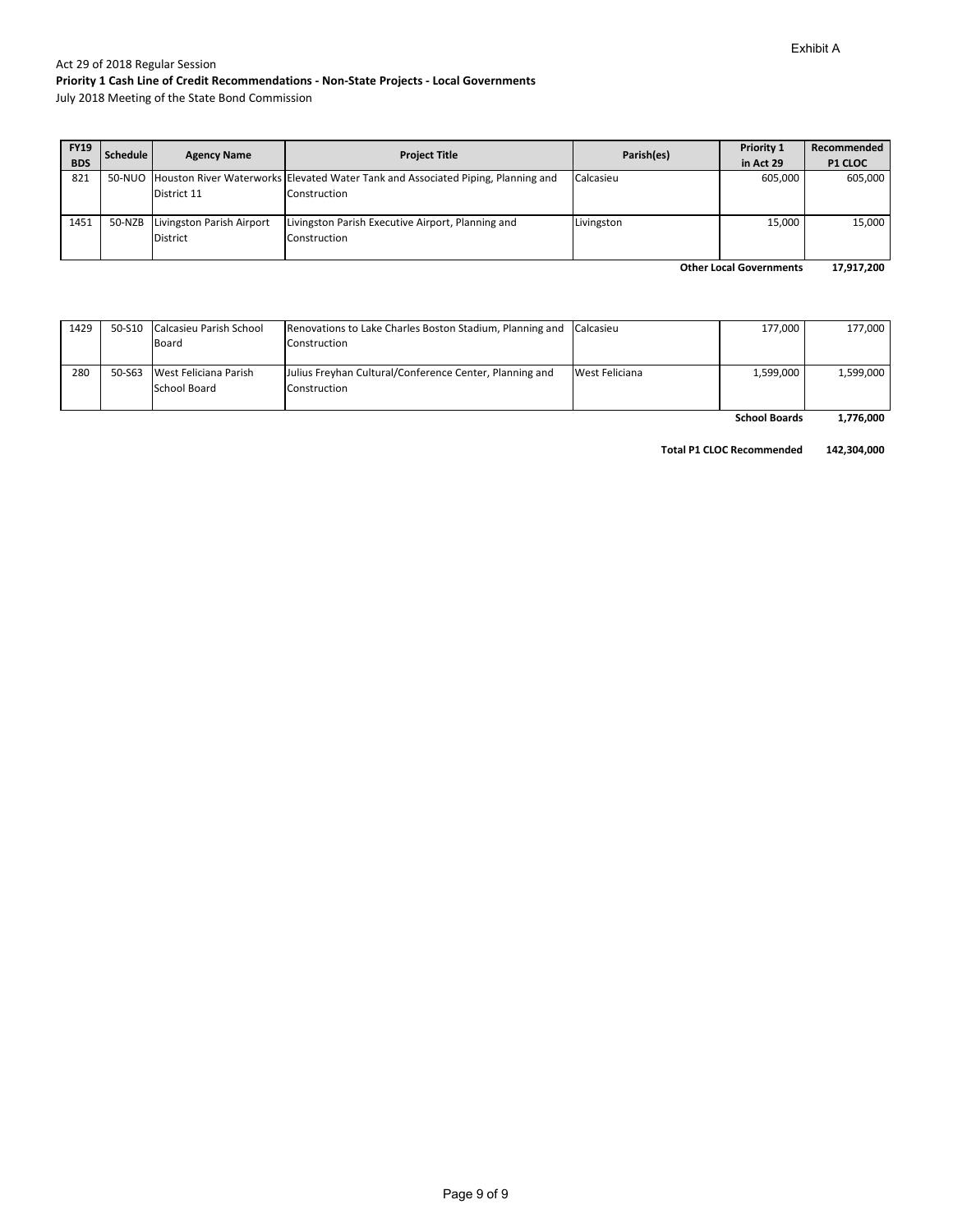July 2018 Meeting of the State Bond Commission

| <b>FY19</b> | <b>Schedule</b> | <b>Agency Name</b>        | <b>Project Title</b>                                                                    | Parish(es) | Priority 1 | Recommended    |
|-------------|-----------------|---------------------------|-----------------------------------------------------------------------------------------|------------|------------|----------------|
| <b>BDS</b>  |                 |                           |                                                                                         |            | in Act 29  | <b>P1 CLOC</b> |
| 821         |                 |                           | 50-NUO Houston River Waterworks Elevated Water Tank and Associated Piping, Planning and | Calcasieu  | 605.000    | 605,000        |
|             |                 | District 11               | Construction                                                                            |            |            |                |
|             |                 |                           |                                                                                         |            |            |                |
| 1451        | 50-NZB          | Livingston Parish Airport | Livingston Parish Executive Airport, Planning and                                       | Livingston | 15.000     | 15.000         |
|             |                 | <b>District</b>           | Construction                                                                            |            |            |                |
|             |                 |                           |                                                                                         |            |            |                |

**17,917,200 Other Local Governments**

| 50-S10 |       |                                                                  |                                                                         | 177,000                                                                              | 177,000   |
|--------|-------|------------------------------------------------------------------|-------------------------------------------------------------------------|--------------------------------------------------------------------------------------|-----------|
|        | Board |                                                                  |                                                                         |                                                                                      |           |
|        |       |                                                                  |                                                                         |                                                                                      |           |
| 50-S63 |       |                                                                  |                                                                         | 1,599,000                                                                            | 1.599.000 |
|        |       | Construction                                                     |                                                                         |                                                                                      |           |
|        |       |                                                                  |                                                                         |                                                                                      |           |
|        |       | Calcasieu Parish School<br>West Feliciana Parish<br>School Board | Construction<br>Julius Freyhan Cultural/Conference Center, Planning and | Renovations to Lake Charles Boston Stadium, Planning and Calcasieu<br>West Feliciana |           |

**1,776,000 School Boards**

**Total P1 CLOC Recommended 142,304,000**